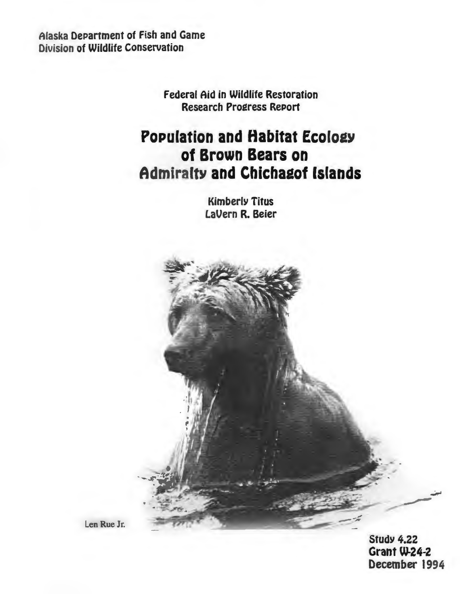Alaska DePartment of Fish and Game Division of Wildlife Conservation

> Federal Aid in Wildlife Restoration Research Pro2ress RePort

# **Population and Habitat Ecology of Brown Bears on Admiralty and Chichagof Islands**

KimberlY Titus LaVern R. Beier

Len Rue Jr.

**Study 4.22** Grant W-24-2 December 1994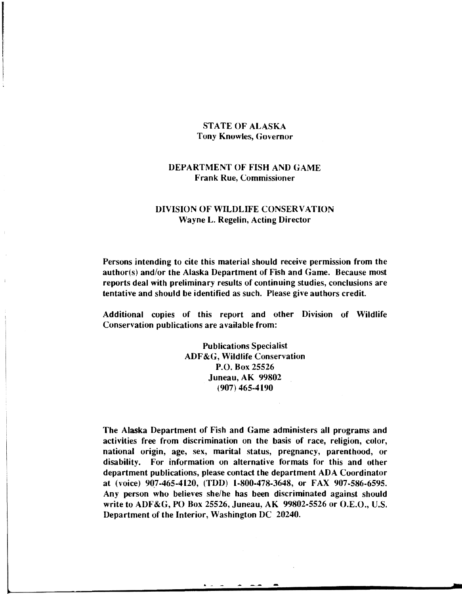#### STATE OF ALASKA Tony Knowles, Governor

## DEPARTMENT OF FISH AND GAME Frank Rue, Commissioner

### DIVISION OF WILDLIFE CONSERVATION Wayne L. Regelin, Acting Director

Persons intending to cite this material should receive permission from the author(s) and/or the Alaska Department of Fish and Game. Because most reports deal with preliminary results of continuing studies, conclusions are tentative and should be identified as such. Please give authors credit.

Additional copies of this report and other Division of Wildlife Conservation publications are available from:

> Publications Specialist ADF&G, Wildlife Conservation P.O. Box 25526 Juneau, AK 99802 (907) 465-4190

The Alaska Department of Fish and Game administers all programs and activities free from discrimination on the basis of race, religion, color, national origin, age, sex, marital status, pregnancy, parenthood, or disability. For information on alternative formats for this and other department publications, please contact the department ADA Coordinator at (voice) 907-465-4120, (TDD) 1-800-478-3648, or FAX 907-586-6595. Any person who believes she/he has been discriminated against should write to ADF&G, PO Box 25526, Juneau, AK 99802-5526 or O.E.O., U.S. Department of the Interior, Washington DC 20240.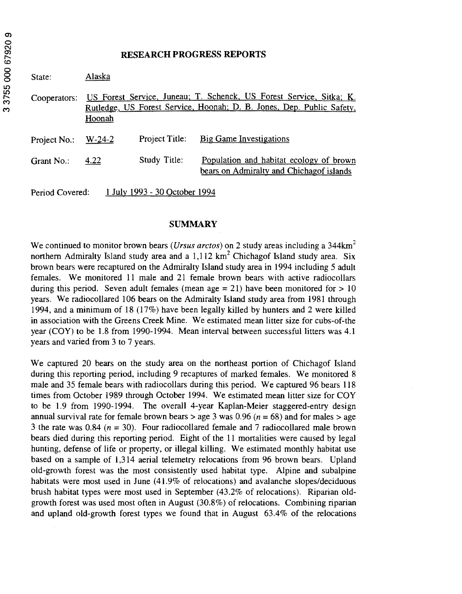#### **RESEARCH PROGRESS REPORTS**

| Š         | State:          | Alaska   |                               |                                                                                                                                              |  |  |
|-----------|-----------------|----------|-------------------------------|----------------------------------------------------------------------------------------------------------------------------------------------|--|--|
| 3755<br>ო | Cooperators:    | Hoonah   |                               | US Forest Service, Juneau; T. Schenck, US Forest Service, Sitka; K.<br>Rutledge, US Forest Service, Hoonah; D. B. Jones, Dep. Public Safety, |  |  |
|           | Project No.:    | $W-24-2$ | Project Title:                | Big Game Investigations                                                                                                                      |  |  |
|           | Grant No.:      | 4.22     | Study Title:                  | Population and habitat ecology of brown<br>bears on Admiralty and Chichagof islands                                                          |  |  |
|           | Period Covered: |          | 1 July 1993 - 30 October 1994 |                                                                                                                                              |  |  |

## **SUMMARY**

We continued to monitor brown bears *(Ursus arctos)* on 2 study areas including a 344km<sup>2</sup> northern Admiralty Island study area and a  $1.112 \text{ km}^2$  Chichagof Island study area. Six brown bears were recaptured on the Admiralty Island study area in 1994 including 5 adult females. We monitored 11 male and 21 female brown bears with active radiocollars during this period. Seven adult females (mean age  $= 21$ ) have been monitored for  $> 10$ years. We radiocollared 106 bears on the Admiralty Island study area from 1981 through 1994, and a minimum of 18 ( 17%) have been legally killed by hunters and 2 were killed in association with the Greens Creek Mine. We estimated mean litter size for cubs-of-the year (COY) to be 1.8 from 1990-1994. Mean interval between successful litters was 4.1 years and varied from 3 to 7 years.

We captured 20 bears on the study area on the northeast portion of Chichagof Island during this reporting period, including 9 recaptures of marked females. We monitored 8 male and 35 female bears with radiocollars during this period. We captured 96 bears 118 times from October 1989 through October 1994. We estimated mean litter size for COY to be 1.9 from 1990-1994. The overall 4-year Kaplan-Meier staggered-entry design annual survival rate for female brown bears > age 3 was 0.96 ( $n = 68$ ) and for males > age 3 the rate was 0.84 ( $n = 30$ ). Four radiocollared female and 7 radiocollared male brown bears died during this reporting period. Eight of the 11 mortalities were caused by legal hunting, defense of life or property, or illegal killing. We estimated monthly habitat use based on a sample of 1,314 aerial telemetry relocations from 96 brown bears. Upland old-growth forest was the most consistently used habitat type. Alpine and subalpine habitats were most used in June (41.9% of relocations) and avalanche slopes/deciduous brush habitat types were most used in September (43.2% of relocations). Riparian oldgrowth forest was used most often in August (30.8%) of relocations. Combining riparian and upland old-growth forest types we found that in August 63.4% of the relocations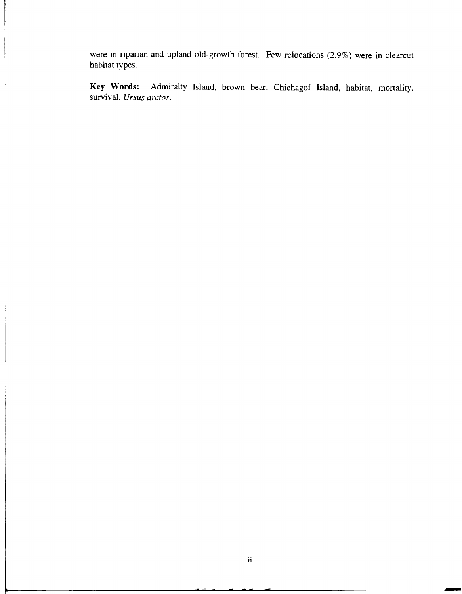were in riparian and upland old-growth forest. Few relocations (2.9%) were in clearcut habitat types.

**Key Words:** Admiralty Island, brown bear, Chichagof Island, habitat, mortality, survival, *Ursus arctos.* 

 $\mathcal{E}^{\text{in}}_{\text{in}}$ 

 $\overline{1}$ 

-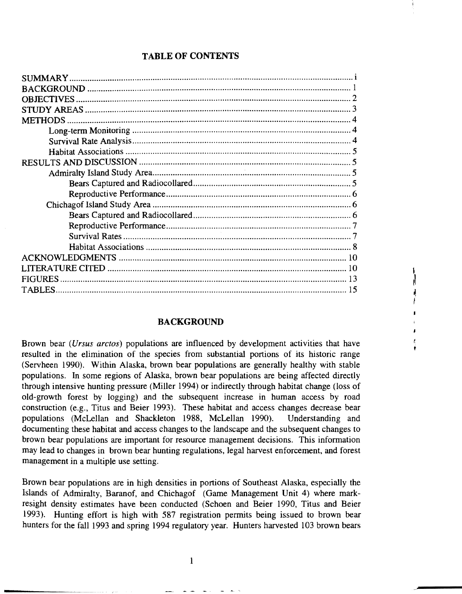## **TABLE OF CONTENTS**

| <b>OBJECTIVES</b> |
|-------------------|
|                   |
|                   |
|                   |
|                   |
|                   |
|                   |
|                   |
|                   |
|                   |
|                   |
|                   |
|                   |
|                   |
|                   |
|                   |
|                   |
| <b>FIGURES</b>    |
| <b>TABLES</b>     |

#### **BACKGROUND**

Brown bear (Ursus arctos) populations are influenced by development activities that have resulted in the elimination of the species from substantial portions of its historic range (Servheen 1990). Within Alaska, brown bear populations are generally healthy with stable populations. In some regions of Alaska, brown bear populations are being affected directly through intensive hunting pressure (Miller 1994) or indirectly through habitat change (loss of old-growth forest by logging) and the subsequent increase in human access by road construction (e.g., Titus and Beier 1993). These habitat and access changes decrease bear populations (McLellan and Shackleton 1988, McLellan 1990). Understanding and documenting these habitat and access changes to the landscape and the subsequent changes to brown bear populations are important for resource management decisions. This information may lead to changes in brown bear hunting regulations, legal harvest enforcement, and forest management in a multiple use setting.

Brown bear populations are in high densities in portions of Southeast Alaska, especially the Islands of Admiralty, Baranof, and Chichagof (Game Management Unit 4) where markresight density estimates have been conducted (Schoen and Beier 1990, Titus and Beier 1993). Hunting effort is high with 587 registration permits being issued to brown bear hunters for the fall 1993 and spring 1994 regulatory year. Hunters harvested 103 brown bears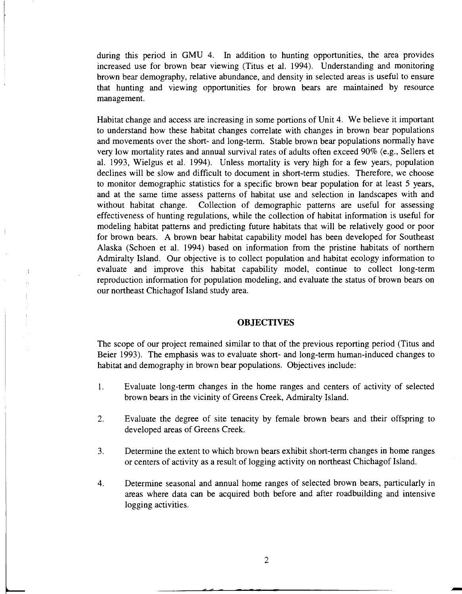during this period in GMU 4. In addition to hunting opportunities, the area provides increased use for brown bear viewing (Titus et al. 1994). Understanding and monitoring brown bear demography, relative abundance, and density in selected areas is useful to ensure that hunting and viewing opportunities for brown bears are maintained by resource management.

Habitat change and access are increasing in some portions of Unit 4. We believe it important to understand how these habitat changes correlate with changes in brown bear populations and movements over the short- and long-term. Stable brown bear populations normally have very low mortality rates and annual survival rates of adults often exceed 90% (e.g., Sellers et al. 1993, Wielgus et al. 1994). Unless mortality is very high for a few years, population declines will be slow and difficult to document in short-term studies. Therefore, we choose to monitor demographic statistics for a specific brown bear population for at least 5 years, and at the same time assess patterns of habitat use and selection in landscapes with and without habitat change. Collection of demographic patterns are useful for assessing effectiveness of hunting regulations, while the collection of habitat information is useful for modeling habitat patterns and predicting future habitats that will be relatively good or poor for brown bears. A brown bear habitat capability model has been developed for Southeast Alaska (Schoen et al. 1994) based on information from the pristine habitats of northern Admiralty Island. Our objective is to collect population and habitat ecology information to evaluate and improve this habitat capability model, continue to collect long-term reproduction information for population modeling, and evaluate the status of brown bears on our northeast Chichagof Island study area.

#### **OBJECTIVES**

The scope of our project remained similar to that of the previous reporting period (Titus and Beier 1993). The emphasis was to evaluate short- and long-term human-induced changes to habitat and demography in brown bear populations. Objectives include:

- 1. Evaluate long-term changes in the home ranges and centers of activity of selected brown bears in the vicinity of Greens Creek, Admiralty Island.
- 2. Evaluate the degree of site tenacity by female brown bears and their offspring to developed areas of Greens Creek.
- 3. Determine the extent to which brown bears exhibit short-term changes in home ranges or centers of activity as a result of logging activity on northeast Chichagof Island.
- 4. Determine seasonal and annual home ranges of selected brown bears, particularly in areas where data can be acquired both before and after roadbuilding and intensive logging activities.

-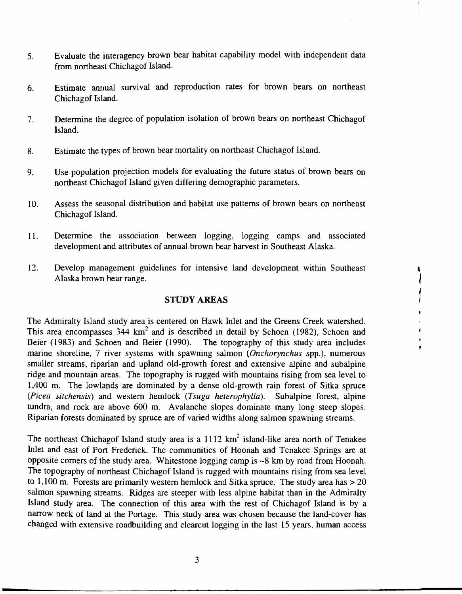- 5. Evaluate the interagency brown bear habitat capability model with independent data from northeast Chichagof Island.
- 6. Estimate annual survival and reproduction rates for brown bears on northeast Chichagof Island.
- 7. Determine the degree of population isolation of brown bears on northeast Chichagof Island.
- 8. Estimate the types of brown bear mortality on northeast Chichagof Island.
- 9. Use population projection models for evaluating the future status of brown bears on northeast Chichagof Island given differing demographic parameters.
- 10. Assess the seasonal distribution and habitat use patterns of brown bears on northeast Chichagof Island.
- 11. Determine the association between logging, logging camps and associated development and attributes of annual brown bear harvest in Southeast Alaska.
- 12. Develop management guidelines for intensive land development within Southeast Alaska brown bear range.

Í, ∤

> Ï ï

> > ť é. ï

#### **STUDY AREAS**

The Admiralty Island study area is centered on Hawk Inlet and the Greens Creek watershed. This area encompasses  $344 \text{ km}^2$  and is described in detail by Schoen (1982), Schoen and Beier (1983) and Schoen and Beier (1990). The topography of this study area includes marine shoreline, 7 river systems with spawning salmon *(Onchorynchus* spp.), numerous smaller streams, riparian and upland old-growth forest and extensive alpine and subalpine ridge and mountain areas. The topography is rugged with mountains rising from sea level to 1,400 m. The lowlands are dominated by a dense old-growth rain forest of Sitka spruce *(Picea sitchensis)* and western hemlock *(Tsuga heterophylla).* Subalpine forest, alpine tundra, and rock are above 600 m. Avalanche slopes dominate many long steep slopes. Riparian forests dominated by spruce are of varied widths along salmon spawning streams.

The northeast Chichagof Island study area is a  $1112 \text{ km}^2$  island-like area north of Tenakee Inlet and east of Port Frederick. The communities of Hoonah and Tenakee Springs are at opposite comers of the study area. Whitestone logging camp is -8 km by road from Hoonah. The topography of northeast Chichagof Island is rugged with mountains rising from sea level to 1,100 m. Forests are primarily western hemlock and Sitka spruce. The study area has  $> 20$ salmon spawning streams. Ridges are steeper with less alpine habitat than in the Admiralty Island study area. The connection of this area with the rest of Chichagof Island is by a narrow neck of land at the Portage. This study area was chosen because the land-cover has changed with extensive roadbuilding and clearcut logging in the last 15 years, human access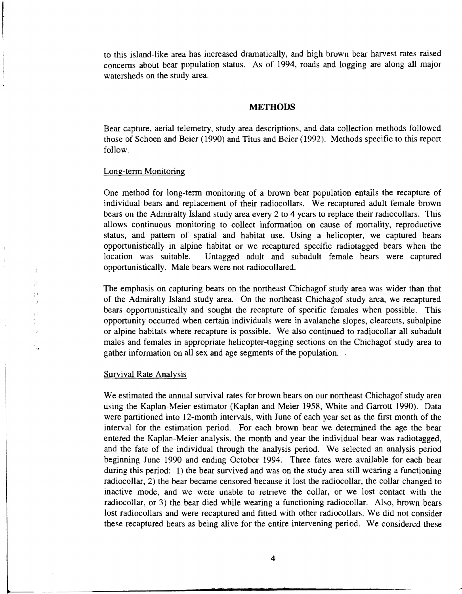to this island-like area has increased dramatically, and high brown bear harvest rates raised concerns about bear population status. As of 1994, roads and logging are along all major watersheds on the study area.

#### **METHODS**

Bear capture, aerial telemetry, study area descriptions, and data collection methods followed those of Schoen and Beier (1990) and Titus and Beier (1992). Methods specific to this report follow.

#### Long-term Monitoring

One method for long-term monitoring of a brown bear population entails the recapture of individual bears and replacement of their radiocollars. We recaptured adult female brown bears on the Admiralty Island study area every 2 to 4 years to replace their radiocollars. This allows continuous monitoring to collect information on cause of mortality, reproductive status, and pattern of spatial and habitat use. Using a helicopter, we captured bears opportunistically in alpine habitat or we recaptured specific radiotagged bears when the location was suitable. Untagged adult and subadult female bears were captured opportunistically. Male bears were not radiocollared.

The emphasis on capturing bears on the northeast Chichagof study area was wider than that of the Admiralty Island study area. On the northeast Chichagof study area, we recaptured bears opportunistically and sought the recapture of specific females when possible. This opportunity occurred when certain individuals were in avalanche slopes, clearcuts, subalpine or alpine habitats where recapture is possible. We also continued to radiocollar all subadult males and females in appropriate helicopter-tagging sections on the Chichagof study area to gather information on all sex and age segments of the population.

#### Survival Rate Analysis

-----

:I

Ĵ.  $\left\{ \cdot \right\}$ 

> We estimated the annual survival rates for brown bears on our northeast Chichagof study area using the Kaplan-Meier estimator (Kaplan and Meier 1958, White and Garrott 1990). Data were partitioned into 12-month intervals, with June of each year set as the first month of the interval for the estimation period. For each brown bear we determined the age the bear entered the Kaplan-Meier analysis, the month and year the individual bear was radiotagged, and the fate of the individual through the analysis period. We selected an analysis period beginning June 1990 and ending October 1994. Three fates were available for each bear during this period: 1) the bear survived and was on the study area still wearing a functioning radiocollar, 2) the bear became censored because it lost the radiocollar, the collar changed to inactive mode, and we were unable to retrieve the collar, or we lost contact with the radiocollar, or 3) the bear died while wearing a functioning radiocollar. Also, brown bears lost radiocollars and were recaptured and fitted with other radiocollars. We did not consider these recaptured bears as being alive for the entire intervening period. We considered these

·-------------------------------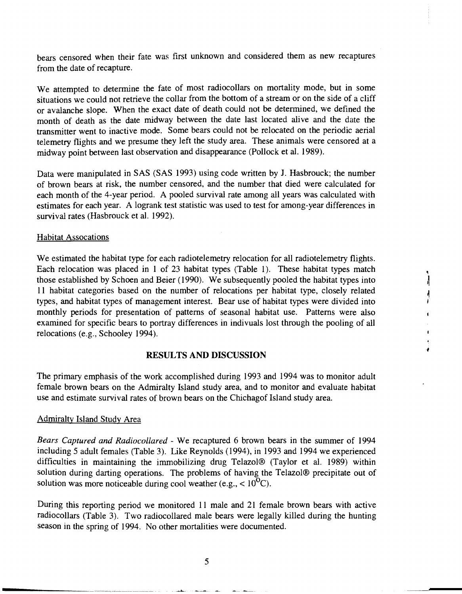bears censored when their fate was first unknown and considered them as new recaptures from the date of recapture.

We attempted to determine the fate of most radiocollars on mortality mode, but in some situations we could not retrieve the collar from the bottom of a stream or on the side of a cliff or avalanche slope. When the exact date of death could not be determined, we defined the month of death as the date midway between the date last located alive and the date the transmitter went to inactive mode. Some bears could not be relocated on the periodic aerial telemetry flights and we presume they left the study area. These animals were censored at a midway point between last observation and disappearance (Pollock et al. 1989).

Data were manipulated in SAS (SAS 1993) using code written by J. Hasbrouck; the number of brown bears at risk, the number censored, and the number that died were calculated for each month of the 4-year period. A pooled survival rate among all years was calculated with estimates for each year. A logrank test statistic was used to test for among-year differences in survival rates (Hasbrouck et al. 1992).

#### Habitat Assocations

We estimated the habitat type for each radiotelemetry relocation for all radiotelemetry flights. Each relocation was placed in 1 of 23 habitat types (Table 1). These habitat types match those established by Schoen and Beier (1990). We subsequently pooled the habitat types into 11 habitat categories based on the number of relocations per habitat type, closely related types, and habitat types of management interest. Bear use of habitat types were divided into monthly periods for presentation of patterns of seasonal habitat use. Patterns were also examined for specific bears to portray differences in indivuals lost through the pooling of all relocations (e.g., Schooley 1994).

#### RESULTS AND DISCUSSION

The primary emphasis of the work accomplished during 1993 and 1994 was to monitor adult female brown bears on the Admiralty Island study area, and to monitor and evaluate habitat use and estimate survival rates of brown bears on the Chichagof Island study area.

#### Admiralty Island Study Area

*Bears Captured and Radiocollared* - We recaptured 6 brown bears in the summer of 1994 including 5 adult females (Table 3). Like Reynolds (1994), in 1993 and 1994 we experienced difficulties in maintaining the immobilizing drug Telazol® (Taylor et al. 1989) within solution during darting operations. The problems of having the Telazol® precipitate out of solution was more noticeable during cool weather (e.g.,  $< 10^{9}$ C).

During this reporting period we monitored 11 male and 21 female brown bears with active radiocollars (Table 3). Two radiocollared male bears were legally killed during the hunting season in the spring of 1994. No other mortalities were documented.

5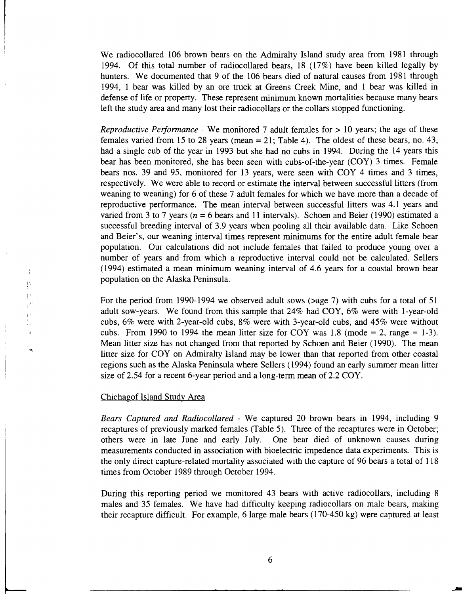We radiocollared 106 brown bears on the Admiralty Island study area from 1981 through 1994. Of this total number of radiocollared bears, 18 (17%) have been killed legally by hunters. We documented that 9 of the 106 bears died of natural causes from 1981 through 1994, 1 bear was killed by an ore truck at Greens Creek Mine, and 1 bear was killed in defense of life or property. These represent minimum known mortalities because many bears left the study area and many lost their radiocollars or the collars stopped functioning.

*Reproductive Performance* - We monitored 7 adult females for  $> 10$  years; the age of these females varied from 15 to 28 years (mean  $= 21$ ; Table 4). The oldest of these bears, no. 43, had a single cub of the year in 1993 but she had no cubs in 1994. During the 14 years this bear has been monitored, she has been seen with cubs-of-the-year (COY) 3 times. Female bears nos. 39 and 95, monitored for 13 years, were seen with COY 4 times and 3 times, respectively. We were able to record or estimate the interval between successful litters (from weaning to weaning) for 6 of these 7 adult females for which we have more than a decade of reproductive performance. The mean interval between successful litters was 4.1 years and varied from 3 to 7 years ( $n = 6$  bears and 11 intervals). Schoen and Beier (1990) estimated a successful breeding interval of 3.9 years when pooling all their available data. Like Schoen and Beier's, our weaning interval times represent minimums for the entire adult female bear population. Our calculations did not include females that failed to produce young over a number of years and from which a reproductive interval could not be calculated. Sellers (1994) estimated a mean minimum weaning interval of 4.6 years for a coastal brown bear population on the Alaska Peninsula.

For the period from 1990-1994 we observed adult sows ( $>$ age 7) with cubs for a total of 51 adult sow-years. We found from this sample that 24% had COY, 6% were with 1-year-old cubs, 6% were with 2-year-old cubs, 8% were with 3-year-old cubs, and 45% were without cubs. From 1990 to 1994 the mean litter size for COY was 1.8 (mode  $= 2$ , range  $= 1-3$ ). Mean litter size has not changed from that reported by Schoen and Beier ( 1990). The mean litter size for COY on Admiralty Island may be lower than that reported from other coastal regions such as the Alaska Peninsula where Sellers ( 1994) found an early summer mean litter size of 2.54 for a recent 6-year period and a long-term mean of 2.2 COY.

#### Chichagof Island Study Area

'~

 $\mathbf{I}$  $\frac{1}{2}\frac{1}{2}g$  $\pm$  13

> *Bears Captured and Radiocollared* - We captured 20 brown bears in 1994, including 9 recaptures of previously marked females (Table 5). Three of the recaptures were in October; others were in late June and early July. One bear died of unknown causes during measurements conducted in association with bioelectric impedence data experiments. This is the only direct capture-related mortality associated with the capture of 96 bears a total of 118 times from October 1989 through October 1994.

> During this reporting period we monitored 43 bears with active radiocollars, including 8 males and 35 females. We have had difficulty keeping radiocollars on male bears, making their recapture difficult. For example, 6 large male bears  $(170-450 \text{ kg})$  were captured at least

--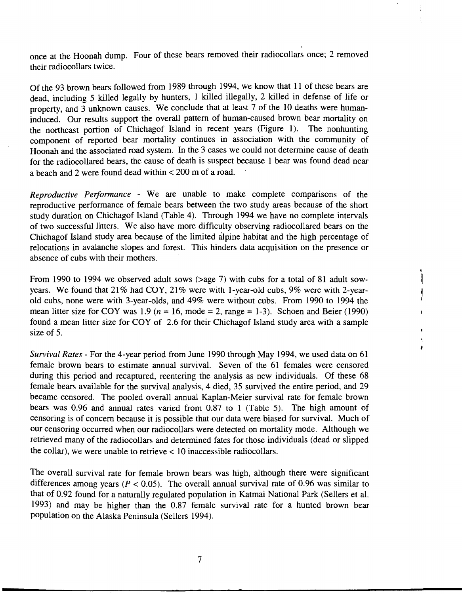once at the Hoonah dump. Four of these bears removed their radiocollars once; 2 removed their radiocollars twice.

Of the 93 brown bears followed from 1989 through 1994, we know that 11 of these bears are dead, including 5 killed legally by hunters, 1 killed illegally, 2 killed in defense of life or property, and 3 unknown causes. We conclude that at least 7 of the 10 deaths were humaninduced. Our results support the overall pattern of human-caused brown bear mortality on the northeast portion of Chichagof Island in recent years (Figure 1). The nonhunting component of reported bear mortality continues in association with the community of Hoonah and the associated road system. In the 3 cases we could not determine cause of death for the radiocollared bears, the cause of death is suspect because 1 bear was found dead near a beach and 2 were found dead within < 200 m of a road.

*Reproductive Performance* - We are unable to make complete comparisons of the reproductive performance of female bears between the two study areas because of the short study duration on Chichagof Island (Table 4). Through 1994 we have no complete intervals of two successful litters. We also have more difficulty observing radiocollared bears on the Chichagof Island study area because of the limited alpine habitat and the high percentage of relocations in avalanche slopes and forest. This hinders data acquisition on the presence or absence of cubs with their mothers.

From 1990 to 1994 we observed adult sows (>age 7) with cubs for a total of 81 adult sowyears. We found that 21% had COY, 21% were with 1-year-old cubs, 9% were with 2-yearold cubs, none were with 3-year-olds, and 49% were without cubs. From 1990 to 1994 the mean litter size for COY was 1.9 ( $n = 16$ , mode = 2, range = 1-3). Schoen and Beier (1990) found a mean litter size for COY of 2.6 for their Chichagof Island study area with a sample size of 5.

*Survival Rates-* For the 4-year period from June 1990 through May 1994, we used data on 61 female brown bears to estimate annual survival. Seven of the 61 females were censored during this period and recaptured, reentering the analysis as new individuals. Of these 68 female bears available for the survival analysis, 4 died, 35 survived the entire period, and 29 became censored. The pooled overall annual Kaplan-Meier survival rate for female brown bears was 0.96 and annual rates varied from 0.87 to 1 (Table 5). The high amount of censoring is of concern because it is possible that our data were biased for survival. Much of our censoring occurred when our radiocollars were detected on mortality mode. Although we retrieved many of the radiocollars and determined fates for those individuals (dead or slipped the collar), we were unable to retrieve  $< 10$  inaccessible radiocollars.

The overall survival rate for female brown bears was high, although there were significant differences among years ( $P < 0.05$ ). The overall annual survival rate of 0.96 was similar to that of 0.92 found for a naturally regulated population in Katmai National Park (Sellers et al. 1993) and may be higher than the 0.87 female survival rate for a hunted brown bear population on the Alaska Peninsula (Sellers 1994).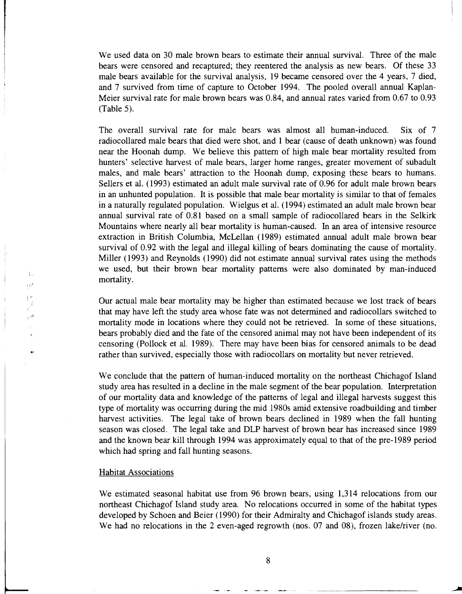We used data on 30 male brown bears to estimate their annual survival. Three of the male bears were censored and recaptured; they reentered the analysis as new bears. Of these 33 male bears available for the survival analysis, 19 became censored over the 4 years, 7 died, and 7 survived from time of capture to October 1994. The pooled overall annual Kaplan-Meier survival rate for male brown bears was 0.84, and annual rates varied from 0.67 to 0.93 (Table 5).

The overall survival rate for male bears was almost all human-induced. Six of 7 radiocollared male bears that died were shot, and 1 bear (cause of death unknown) was found near the Hoonah dump. We believe this pattern of high male bear mortality resulted from hunters' selective harvest of male bears, larger home ranges, greater movement of subadult males, and male bears' attraction to the Hoonah dump, exposing these bears to humans. Sellers et al. ( 1993) estimated an adult male survival rate of 0.96 for adult male brown bears in an unhunted population. It is possible that male bear mortality is similar to that of females in a naturally regulated population. Wielgus et al. ( 1994) estimated an adult male brown bear annual survival rate of 0.81 based on a small sample of radiocollared bears in the Selkirk Mountains where nearly all bear mortality is human-caused. In an area of intensive resource extraction in British Columbia, McLellan ( 1989) estimated annual adult male brown bear survival of 0.92 with the legal and illegal killing of bears dominating the cause of mortality. Miller (1993) and Reynolds (1990) did not estimate annual survival rates using the methods we used, but their brown bear mortality patterns were also dominated by man-induced mortality.

Our actual male bear mortality may be higher than estimated because we lost track of bears that may have left the study area whose fate was not determined and radiocollars switched to mortality mode in locations where they could not be retrieved. In some of these situations, bears probably died and the fate of the censored animal may not have been independent of its censoring (Pollock et al. 1989). There may have been bias for censored animals to be dead rather than survived, especially those with radiocollars on mortality but never retrieved.

We conclude that the pattern of human-induced mortality on the northeast Chichagof Island study area has resulted in a decline in the male segment of the bear population. Interpretation of our mortality data and knowledge of the patterns of legal and illegal harvests suggest this type of mortality was occurring during the mid 1980s amid extensive roadbuilding and timber harvest activities. The legal take of brown bears declined in 1989 when the fall hunting season was closed. The legal take and DLP harvest of brown bear has increased since 1989 and the known bear kill through 1994 was approximately equal to that of the pre-1989 period which had spring and fall hunting seasons.

#### Habitat Associations

! I•

 $\mathbb{R}^3$ 

 $\alpha$ 

 $\mathfrak{f}_n$  $\Omega^1$ 

> We estimated seasonal habitat use from 96 brown bears, using 1,314 relocations from our northeast Chichagof Island study area. No relocations occurred in some of the habitat types developed by Schoen and Beier ( 1990) for their Admiralty and Chichagof islands study areas. We had no relocations in the 2 even-aged regrowth (nos. 07 and 08), frozen lake/river (no.

. -~-------- -------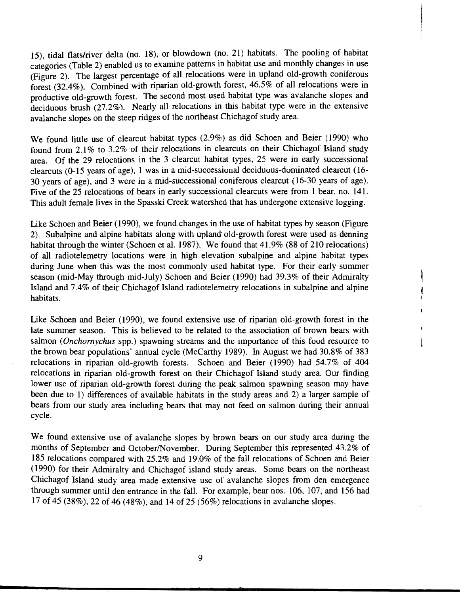15), tidal flats/river delta (no. 18), or blowdown (no. 21) habitats. The pooling of habitat categories (Table 2) enabled us to examine patterns in habitat use and monthly changes in use (Figure 2). The largest percentage of all relocations were in upland old-growth coniferous forest (32.4% ). Combined with riparian old-growth forest, 46.5% of all relocations were in productive old-growth forest. The second most used habitat type was avalanche slopes and deciduous brush (27.2%). Nearly all relocations in this habitat type were in the extensive avalanche slopes on the steep ridges of the northeast Chichagof study area.

We found little use of clearcut habitat types (2.9%) as did Schoen and Beier (1990) who found from 2.1% to 3.2% of their relocations in clearcuts on their Chichagof Island study area. Of the 29 relocations in the 3 clearcut habitat types, 25 were in early successional clearcuts (0-15 years of age), 1 was in a mid-successional deciduous-dominated clearcut (16 30 years of age), and 3 were in a mid-successional coniferous clearcut (16-30 years of age). Five of the 25 relocations of bears in early successional clearcuts were from 1 bear, no. 141. This adult female lives in the Spasski Creek watershed that has undergone extensive logging.

Like Schoen and Beier ( 1990), we found changes in the use of habitat types by season (Figure 2). Subalpine and alpine habitats along with upland· old-growth forest were used as denning habitat through the winter (Schoen et al. 1987). We found that 41.9% (88 of 210 relocations) of all radiotelemetry locations were in high elevation subalpine and alpine habitat types during June when this was the most commonly used habitat type. For their early summer season (mid-May through mid-July) Schoen and Beier (1990) had 39.3% of their Admiralty Island and 7.4% of their Chichagof Island radiotelemetry relocations in subalpine and alpine habitats.

Like Schoen and Beier (1990), we found extensive use of riparian old-growth forest in the late summer season. This is believed to be related to the association of brown bears with salmon ( *Onchornychus* spp.) spawning streams and the importance of this food resource to the brown bear populations' annual cycle (McCarthy 1989). In August we had 30.8% of 383 relocations in riparian old-growth forests. Schoen and Beier (1990) had 54.7% of 404 relocations in riparian old-growth forest on their Chichagof Island study area. Our finding lower use of riparian old-growth forest during the peak salmon spawning season may have been due to 1) differences of available habitats in the study areas and 2) a larger sample of bears from our study area including bears that may not feed on salmon during their annual cycle.

We found extensive use of avalanche slopes by brown bears on our study area during the months of September and October/November. During September this represented 43.2% of 185 relocations compared with 25.2% and 19.0% of the fall relocations of Schoen and Beier ( 1990) for their Admiralty and Chichagof island study areas. Some bears on the northeast Chichagof Island study area made extensive use of avalanche slopes from den emergence through summer until den entrance in the fall. For example, bear nos. 106, 107, and 156 had 17 of 45 (38%), 22 of 46 (48%), and 14 of 25 (56%) relocations in avalanche slopes.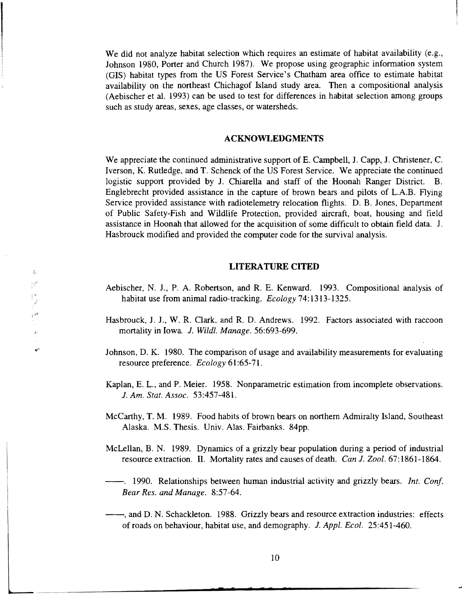We did not analyze habitat selection which requires an estimate of habitat availability (e.g., Johnson 1980, Porter and Church 1987). We propose using geographic information system (GIS) habitat types from the US Forest Service's Chatham area office to estimate habitat availability on the northeast Chichagof Island study area. Then a compositional analysis (Aebischer et al. 1993) can be used to test for differences in habitat selection among groups such as study areas, sexes, age classes, or watersheds.

#### **ACKNOWLEDGMENTS**

We appreciate the continued administrative support of E. Campbell, J. Capp, J. Christener, C. Iverson, K. Rutledge, and T. Schenck of the US Forest Service. We appreciate the continued logistic support provided by J. Chiarella and staff of the Hoonah Ranger District. B. Englebrecht provided assistance in the capture of brown bears and pilots of L.A.B. Flying Service provided assistance with radiotelemetry relocation flights. D. B. Jones, Department of Public Safety-Fish and Wildlife Protection, provided aircraft, boat, housing and field assistance in Hoonah that allowed for the acquisition of some difficult to obtain field data. J. Hasbrouck modified and provided the computer code for the survival analysis.

#### **LITERATURE CITED**

- Aebischer, N. J., P. A. Robertson, and R. E. Kenward. 1993. Compositional analysis of habitat use from animal radio-tracking. *Ecology* 74:1313-1325.
- Hasbrouck, J. J., W. R. Clark, and R. D. Andrews. 1992. Factors associated with raccoon mortality in Iowa J. *Wildl. Manage.* 56:693-699 .
- Johnson, D. K. 1980. The comparison of usage and availability measurements for evaluating resource preference. *Ecology* 61:65-71.
- Kaplan, E. L., and P. Meier. 1958. Nonparametric estimation from incomplete observations. J. *Am. Stat. Assoc.* 53:457-481.
- McCarthy, T. M. 1989. Food habits of brown bears on northern Admiralty Island, Southeast Alaska. M.S. Thesis. Univ. Alas. Fairbanks. 84pp.
- McLellan, B. N. 1989. Dynamics of a grizzly bear population during a period of industrial resource extraction. II. Mortality rates and causes of death. *Can* J. *Zool.* 67:1861-1864.
- --. 1990. Relationships between human industrial activity and grizzly bears. *Int. Conf Bear Res. and Manage.* 8:57-64.
- $-$ , and D. N. Schackleton. 1988. Grizzly bears and resource extraction industries: effects of roads on behaviour, habitat use, and demography. J. *Appl. Ecol.* 25:451-460.

-- ~~~-~~ --------------------------------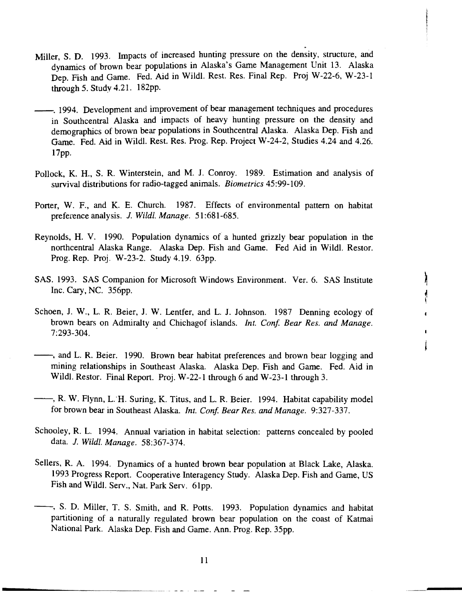- Miller, S. D. 1993. Impacts of increased hunting pressure on the density, structure, and dynamics of brown bear populations in Alaska's Game Management Unit 13. Alaska Dep. Fish and Game. Fed. Aid in Wildl. Rest. Res. Final Rep. Proj W-22-6, W-23-1 through *5.* Study 4.21. 182pp.
- --. 1994. Development and improvement of bear management techniques and procedures in Southcentral Alaska and impacts of heavy hunting pressure on the density and demographics of brown bear populations in Southcentral Alaska. Alaska Dep. Fish and Game. Fed. Aid in Wi1dl. Rest. Res. Prog. Rep. Project W-24-2, Studies 4.24 and 4.26. 17pp.
- Pollock, K. H., S. R. Winterstein, and M. J. Conroy. 1989. Estimation and analysis of survival distributions for radio-tagged animals. *Biometrics* 45:99-109.
- Porter, W. F., and K. E. Church. 1987. Effects of environmental pattern on habitat preference analysis. J. *Wildl. Manage.* 51:681-685.
- Reynolds, H. V. 1990. Population dynamics of a hunted grizzly bear population in the northcentral Alaska Range. Alaska Dep. Fish and Game. Fed Aid in Wildl. Restor. Prog. Rep. Proj. W-23-2. Study 4.19. 63pp.
- SAS. 1993. SAS Companion for Microsoft Windows Environment. Ver. 6. SAS Institute Inc. Cary, NC. 356pp.
- Schoen, J. W., L. R. Beier, J. W. Lentfer, and L. J. Johnson. 1987 Denning ecology of brown bears on Admiralty and Chichagof islands. *Int. Conf. Bear Res. and Manage.* 7:293-304.
- --, and L. R. Beier. 1990. Brown bear habitat preferences and brown bear logging and mining relationships in Southeast Alaska. Alaska Dep. Fish and Game. Fed. Aid in Wildl. Restor. Final Report. Proj. W-22-1 through 6 and W-23-1 through 3.
- $-$ , R. W. Flynn, L. H. Suring, K. Titus, and L. R. Beier. 1994. Habitat capability model for brown bear in Southeast Alaska. *Int. Conf Bear Res. and Manage.* 9:327-337.
- Schooley, R. L. 1994. Annual variation in habitat selection: patterns concealed by pooled data. J. *Wildl. Manage.* 58:367-374.
- Sellers, R. A. 1994. Dynamics of a hunted brown bear population at Black Lake, Alaska. 1993 Progress Report. Cooperative Interagency Study. Alaska Dep. Fish and Game, US Fish and Wildl. Serv., Nat. Park Serv. 61pp.
- --, S. D. Miller, T. S. Smith, and R. Potts. 1993. Population dynamics and habitat partitioning of a naturally regulated brown bear population on the coast of Katmai National Park. Alaska Dep. Fish and Game. Ann. Prog. Rep. 35pp.

11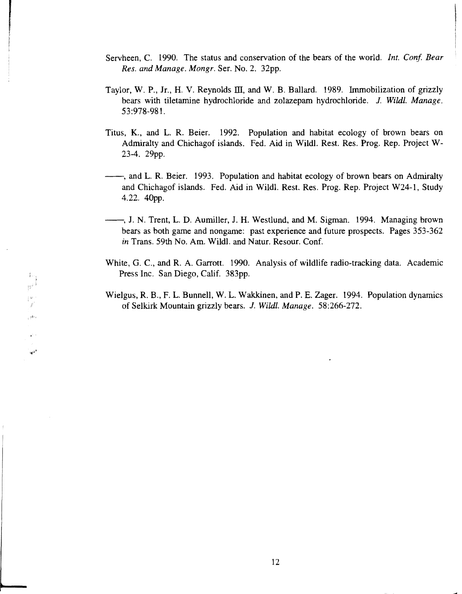Servheen, C. 1990. The status and conservation of the bears of the world. *Int. Conf. Bear Res. and Manage. Mongr.* Ser. No. 2. 32pp.

I

 $|u^{j+1}$ 

 $\left\lceil \frac{B^2}{2} \right\rceil$ j. وترامى

 $\star$  :

 $\mathbf{u}^{(i)}$ 

 $\mathfrak{f}_{\text{avg}}$ 

f

- Taylor, W. P., Jr., H. V. Reynolds  $III$ , and W. B. Ballard. 1989. Immobilization of grizzly bears with tiletamine hydrochloride and zolazepam hydrochloride. J. *Wildl. Manage.*  53:978-981.
- Titus, K., and L. R. Beier. 1992. Population and habitat ecology of brown bears on Admiralty and Chichagof islands. Fed. Aid in Wildl. Rest. Res. Prog. Rep. Project W-23-4. 29pp.
- --, and L. R. Beier. 1993. Population and habitat ecology of brown bears on Admiralty and Chichagof islands. Fed. Aid in Wildl. Rest. Res. Prog. Rep. Project W24-1, Study 4.22. 40pp.
- $\longrightarrow$ , J. N. Trent, L. D. Aumiller, J. H. Westlund, and M. Sigman. 1994. Managing brown bears as both game and nongame: past experience and future prospects. Pages 353-362 *in* Trans. 59th No. Am. Wildl. and Natur. Resour. Conf.
- White, G. C., and R. A. Garrott. 1990. Analysis of wildlife radio-tracking data. Academic Press Inc. San Diego, Calif. 383pp.
- Wielgus, R. B., F. L. Bunnell, W. L. Wakkinen, and P. E. Zager. 1994. Population dynamics of Selkirk Mountain grizzly bears. J. *Wildl. Manage.* 58:266-272.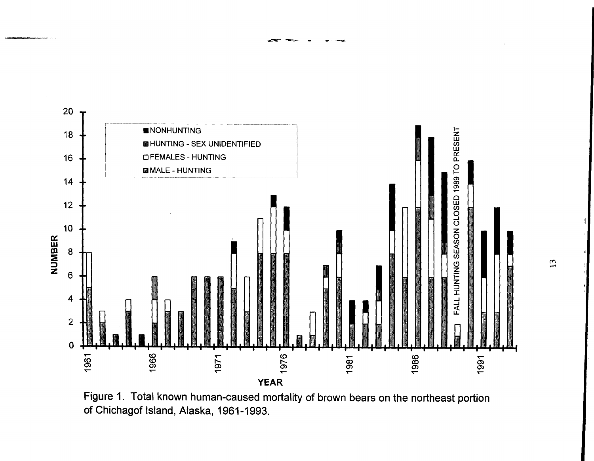

Figure 1. Total known human-caused mortality of brown bears on the northeast portion of Chichagof Island, Alaska, 1961-1993.

 $\overline{13}$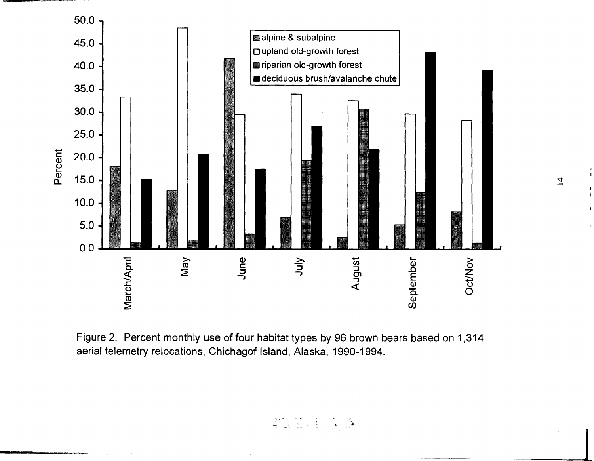

Figure 2. Percent monthly use of four habitat types by 96 brown bears based on 1,314 aerial telemetry relocations, Chichagof Island, Alaska, 1990-1994.

AS INSTRUS

 $\overline{1}$ 

 $\begin{array}{c} 1 \\ 4 \end{array}$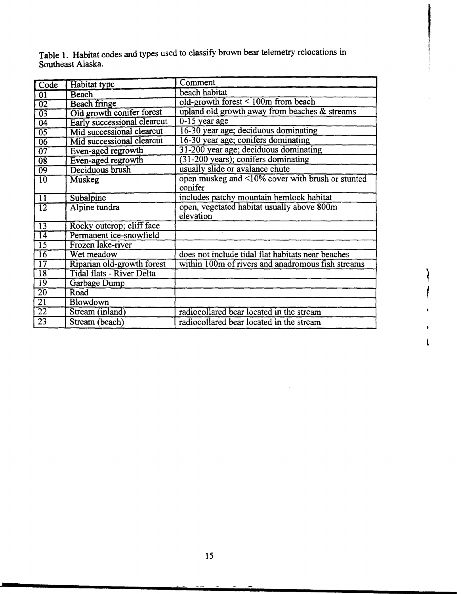Table 1. Habitat codes and types used to classify brown bear telemetry relocations in Southeast Alaska.

I

 $\lambda$ 

 $\begin{array}{c} \n \frac{1}{2} & \frac{1}{2} & \frac{1}{2} \\ \n \frac{1}{2} & \frac{1}{2} & \frac{1}{2} \\ \n \frac{1}{2} & \frac{1}{2} & \frac{1}{2} \\ \n \frac{1}{2} & \frac{1}{2} & \frac{1}{2} \\ \n \frac{1}{2} & \frac{1}{2} & \frac{1}{2} \\ \n \frac{1}{2} & \frac{1}{2} & \frac{1}{2} \\ \n \frac{1}{2} & \frac{1}{2} & \frac{1}{2} \\ \n \frac{1}{2} & \frac{1}{2} & \frac{1}{2} \\ \n \frac{$ 

 $\pmb{\mathfrak{t}}$  $\overline{\mathbf{I}}$ 

| $\overline{\text{Code}}$ | Habitat type                     | Comment                                           |
|--------------------------|----------------------------------|---------------------------------------------------|
| $\overline{01}$          | Beach                            | beach habitat                                     |
| $\overline{02}$          | <b>Beach fringe</b>              | old-growth forest < 100m from beach               |
| $\overline{03}$          | Old growth conifer forest        | upland old growth away from beaches & streams     |
| $\overline{04}$          | Early successional clearcut      | $0-15$ year age                                   |
| $\overline{05}$          | Mid successional clearcut        | 16-30 year age; deciduous dominating              |
| $\overline{06}$          | Mid successional clearcut        | 16-30 year age; conifers dominating               |
| $\overline{07}$          | Even-aged regrowth               | 31-200 year age; deciduous dominating             |
| $\overline{08}$          | Even-aged regrowth               | (31-200 years); conifers dominating               |
| $\overline{09}$          | Deciduous brush                  | usually slide or avalance chute                   |
| 10                       | Muskeg                           | open muskeg and <10% cover with brush or stunted  |
|                          |                                  | conifer                                           |
| $\overline{11}$          | Subalpine                        | includes patchy mountain hemlock habitat          |
| $\overline{12}$          | Alpine tundra                    | open, vegetated habitat usually above 800m        |
|                          |                                  | elevation                                         |
| $\overline{13}$          | Rocky outcrop; cliff face        |                                                   |
| $\overline{14}$          | Permanent ice-snowfield          |                                                   |
| $\overline{15}$          | Frozen lake-river                |                                                   |
| $\overline{16}$          | Wet meadow                       | does not include tidal flat habitats near beaches |
| $\overline{17}$          | Riparian old-growth forest       | within 100m of rivers and anadromous fish streams |
| $\overline{18}$          | <b>Tidal flats - River Delta</b> |                                                   |
| $\overline{19}$          | Garbage Dump                     |                                                   |
| $\overline{20}$          | Road                             |                                                   |
| $\overline{21}$          | <b>Blowdown</b>                  |                                                   |
| $\overline{22}$          | Stream (inland)                  | radiocollared bear located in the stream          |
| 23                       | Stream (beach)                   | radiocollared bear located in the stream          |

15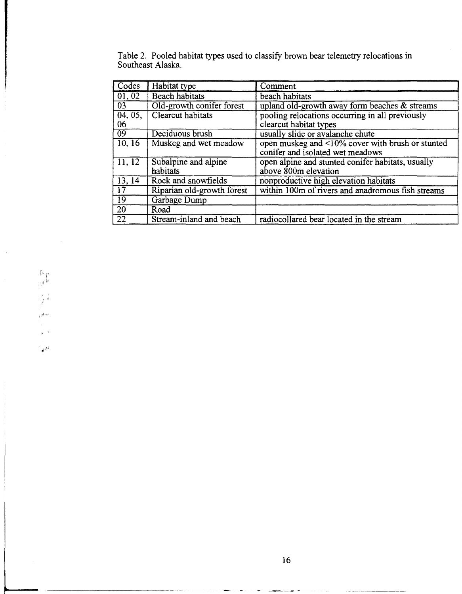| Codes           | Habitat type               | Comment                                                 |
|-----------------|----------------------------|---------------------------------------------------------|
| 01, 02          | <b>Beach habitats</b>      | beach habitats                                          |
| 03              | Old-growth conifer forest  | upland old-growth away form beaches $\&$ streams        |
| 04, 05,         | Clearcut habitats          | pooling relocations occurring in all previously         |
| 06              |                            | clearcut habitat types                                  |
| $\overline{09}$ | Deciduous brush            | usually slide or avalanche chute                        |
| 10, 16          | Muskeg and wet meadow      | open muskeg and $\leq 10\%$ cover with brush or stunted |
|                 |                            | conifer and isolated wet meadows                        |
| 11, 12          | Subalpine and alpine       | open alpine and stunted conifer habitats, usually       |
|                 | habitats                   | above $\bar{\text{8}}00m$ elevation                     |
| 13, 14          | Rock and snowfields        | nonproductive high elevation habitats                   |
| $\overline{17}$ | Riparian old-growth forest | within 100m of rivers and anadromous fish streams       |
| $\overline{19}$ | Garbage Dump               |                                                         |
| $\sqrt{20}$     | Road                       |                                                         |
| $\overline{22}$ | Stream-inland and beach    | radiocollared bear located in the stream                |

Table 2. Pooled habitat types used to classify brown bear telemetry relocations in Southeast Alaska.

 $\mu^{-1/4}$ 

 $\frac{1}{\sqrt{2}}$ 

 $\begin{array}{c} \left\{ \begin{array}{c} \mathbf{1}_{\mathbf{p}} \\ \mathbf{1}_{\mathbf{p}} \end{array} \right\} \mathbf{p} \end{array}$ 

 $\begin{bmatrix} 0 & 0 \\ 0 & 0 \\ 0 & 0 \end{bmatrix}$  $\tau^{\rm phot}$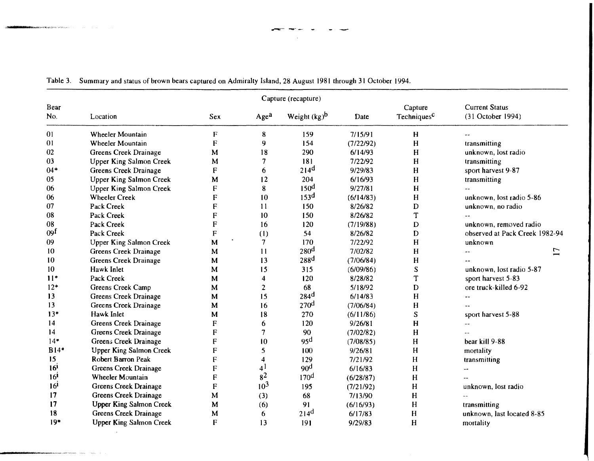| Capture (recapture) |                                |             |                  |                  |           |                                    |                                            |
|---------------------|--------------------------------|-------------|------------------|------------------|-----------|------------------------------------|--------------------------------------------|
| Bear<br>No.         | Location                       | Sex         | Age <sup>a</sup> | Weight $(kg)^b$  | Date      | Capture<br>Techniques <sup>C</sup> | <b>Current Status</b><br>(31 October 1994) |
| 01                  | Wheeler Mountain               | F           | 8                | 159              | 7/15/91   | H                                  |                                            |
| 01                  | Wheeler Mountain               | F           | 9                | 154              | (7/22/92) | H                                  | transmitting                               |
| 02                  | <b>Greens Creek Drainage</b>   | M           | 18               | 290              | 6/14/93   | H                                  | unknown, lost radio                        |
| 03                  | Upper King Salmon Creek        | M           | 7                | 181              | 7/22/92   | H                                  | transmitting                               |
| $04*$               | Greens Creek Drainage          | F           | 6                | 214 <sup>d</sup> | 9/29/83   | H                                  | sport harvest 9-87                         |
| 05                  | <b>Upper King Salmon Creek</b> | M           | 12               | 204              | 6/16/93   | H                                  | transmitting                               |
| 06                  | <b>Upper King Salmon Creek</b> | F           | 8                | 150 <sup>d</sup> | 9/27/81   | H                                  |                                            |
| 06                  | <b>Wheeler Creek</b>           | F           | 10               | 153 <sup>d</sup> | (6/14/83) | H                                  | unknown, lost radio 5-86                   |
| 07                  | Pack Creek                     | $\mathbf F$ | 11               | 150              | 8/26/82   | D                                  | unknown, no radio                          |
| 08                  | Pack Creek                     | F           | 10               | 150              | 8/26/82   | T                                  | $\ddotsc$                                  |
| 08                  | Pack Creek                     | $\mathbf F$ | 16               | 120              | (7/19/88) | $\mathbf D$                        | unknown, removed radio                     |
| 09 <sup>f</sup>     | Pack Creek                     | ${\bf F}$   | (1)              | 54               | 8/26/82   | D                                  | observed at Pack Creek 1982-94             |
| 09                  | <b>Upper King Salmon Creek</b> | M           | $7\phantom{.}$   | 170              | 7/22/92   | H                                  | unknown                                    |
| 10                  | Greens Creek Drainage          | M           | 11               | 280 <sup>d</sup> | 7/02/82   | H                                  | $\overline{17}$<br>$\overline{a}$          |
| 10                  | Greens Creek Drainage          | M           | 13               | 288 <sup>d</sup> | (7/06/84) | H                                  |                                            |
| 10                  | Hawk Inlet                     | M           | 15               | 315              | (6/09/86) | ${\bf S}$                          | unknown, lost radio 5-87                   |
| $11*$               | Pack Creek                     | M           | 4                | 120              | 8/28/82   | Ŧ                                  | sport harvest 5-83                         |
| $12*$               | Greens Creek Camp              | M           | $\overline{c}$   | 68               | 5/18/92   | D                                  | ore truck-killed 6-92                      |
| 13                  | Greens Creek Drainage          | M           | 15               | 284 <sup>d</sup> | 6/14/83   | H                                  | $\overline{\phantom{a}}$                   |
| 13                  | Greens Creek Drainage          | M           | 16               | 270 <sup>d</sup> | (7/06/84) | H                                  | $\sim$                                     |
| $13*$               | Hawk Inlet                     | M           | 18               | 270              | (6/11/86) | S                                  | sport harvest 5-88                         |
| 14                  | Greens Creek Drainage          | $\mathbf F$ | 6                | 120              | 9/26/81   | $\mathbf H$                        | $ -$                                       |
| 14                  | Greens Creek Drainage          | F           | 7                | 90               | (7/02/82) | H                                  |                                            |
| $14*$               | Greens Creek Drainage          | F           | 10               | 95 <sup>d</sup>  | (7/08/85) | H                                  | bear kill 9-88                             |
| $B14*$              | <b>Upper King Salmon Creek</b> | F           | 5                | 100              | 9/26/81   | H                                  | mortality                                  |
| 15                  | Robert Barron Peak             | F           | 4                | 129              | 7/21/92   | H                                  | transmitting                               |
| 16 <sup>1</sup>     | Greens Creek Drainage          | F           | 4 <sup>1</sup>   | 90 <sup>d</sup>  | 6/16/83   | H                                  | --                                         |
| 16 <sup>1</sup>     | <b>Wheeler Mountain</b>        | F           | 8 <sup>2</sup>   | 170 <sup>d</sup> | (6/28/87) | H                                  |                                            |
| 16 <sup>1</sup>     | Greens Creek Drainage          | $\mathbf F$ | 10 <sup>3</sup>  | 195              | (7/21/92) | $\mathbf H$                        | unknown, lost radio                        |
| 17                  | Greens Creek Drainage          | M           | (3)              | 68               | 7/13/90   | $\mathbf H$                        |                                            |
| 17                  | <b>Upper King Salmon Creek</b> | M           | (6)              | 91               | (6/16/93) | H                                  | transmitting                               |
| 18                  | Greens Creek Drainage          | M           | 6                | 214 <sup>d</sup> | 6/17/83   | H                                  | unknown, last located 8-85                 |
| $19*$               | <b>Upper King Salmon Creek</b> | F           | 13               | 191              | 9/29/83   | $\mathbf H$                        | mortality                                  |

Table 3. Summary and status of brown bears captured on Admiralty Island, 28 August 1981 through 31 October 1994.

------~-·······...

.<br>Matatasan mitir yang Behresi Antibiosismo d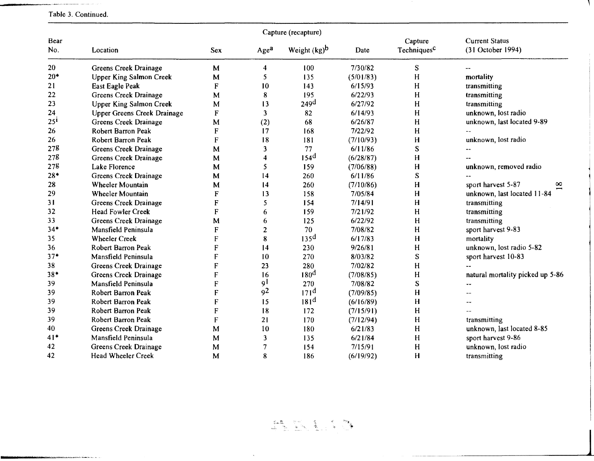|                 |                                |                           | Capture (recapture) |                  |           |                                    |                                            |
|-----------------|--------------------------------|---------------------------|---------------------|------------------|-----------|------------------------------------|--------------------------------------------|
| Bear<br>No.     | Location                       | <b>Sex</b>                | Age <sup>a</sup>    | Weight $(kg)^b$  | Date      | Capture<br>Techniques <sup>c</sup> | <b>Current Status</b><br>(31 October 1994) |
| 20              | Greens Creek Drainage          | M                         | 4                   | 100              | 7/30/82   | S                                  | $-1$                                       |
| $20*$           | <b>Upper King Salmon Creek</b> | M                         | 5                   | 135              | (5/01/83) | H                                  | mortality                                  |
| 21              | <b>East Eagle Peak</b>         | $\boldsymbol{\mathrm{F}}$ | 10                  | 143              | 6/15/93   | H                                  | transmitting                               |
| 22              | Greens Creek Drainage          | M                         | 8                   | 195              | 6/22/93   | H                                  | transmitting                               |
| 23              | Upper King Salmon Creek        | M                         | 13                  | 249 <sup>d</sup> | 6/27/92   | H                                  | transmitting                               |
| 24              | Upper Greens Creek Drainage    | F                         | 3                   | 82               | 6/14/93   | H                                  | unknown, lost radio                        |
| 25 <sup>i</sup> | Greens Creek Drainage          | M                         | (2)                 | 68               | 6/26/87   | H                                  | unknown, last located 9-89                 |
| 26              | Robert Barron Peak             | F                         | 17                  | 168              | 7/22/92   | H                                  |                                            |
| 26              | Robert Barron Peak             | F                         | 18                  | 181              | (7/10/93) | H                                  | unknown, lost radio                        |
| 278             | Greens Creek Drainage          | M                         | 3                   | 77               | 6/11/86   | S                                  |                                            |
| 278             | Greens Creek Drainage          | M                         | 4                   | 154 <sup>d</sup> | (6/28/87) | H                                  |                                            |
| 27g             | Lake Florence                  | M                         | 5                   | 159              | (7/06/88) | H                                  | unknown, removed radio                     |
| $28*$           | Greens Creek Drainage          | M                         | 14                  | 260              | 6/11/86   | S                                  |                                            |
| 28              | <b>Wheeler Mountain</b>        | M                         | $\vert 4$           | 260              | (7/10/86) | H                                  | sport harvest 5-87<br>∞                    |
| 29              | <b>Wheeler Mountain</b>        | F                         | 13                  | 158              | 7/05/84   | H                                  | unknown, last located 11-84                |
| 31              | Greens Creek Drainage          | F                         | 5                   | 154              | 7/14/91   | H                                  | transmitting                               |
| 32              | Head Fowler Creek              | $\mathbf F$               | 6                   | 159              | 7/21/92   | H                                  | transmitting                               |
| 33              | Greens Creek Drainage          | M                         | 6                   | 125              | 6/22/92   | H                                  | transmitting                               |
| $34*$           | Mansfield Peninsula            | ${\bf F}$                 | 2                   | 70               | 7/08/82   | H                                  | sport harvest 9-83                         |
| 35              | <b>Wheeler Creek</b>           | F                         | 8                   | 135 <sup>d</sup> | 6/17/83   | H                                  | mortality                                  |
| 36              | Robert Barron Peak             | ${\bf F}$                 | 14                  | 230              | 9/26/81   | H                                  | unknown, lost radio 5-82                   |
| $37*$           | Mansfield Peninsula            | F                         | 10                  | 270              | 8/03/82   | S                                  | sport harvest 10-83                        |
| 38              | Greens Creek Drainage          | $\boldsymbol{\mathsf{F}}$ | 23                  | 280              | 7/02/82   | H                                  |                                            |
| 38*             | Greens Creek Drainage          | $\boldsymbol{\mathsf{F}}$ | 16                  | 180 <sup>d</sup> | (7/08/85) | H                                  | natural mortality picked up 5-86           |
| 39              | Mansfield Peninsula            | ${\bf F}$                 | 9 <sup>1</sup>      | 270              | 7/08/82   | S                                  | $-1$                                       |
| 39              | Robert Barron Peak             | F                         | 92                  | 171 <sup>d</sup> | (7/09/85) | H                                  |                                            |
| 39              | Robert Barron Peak             | F                         | 15                  | 181 <sup>d</sup> | (6/16/89) | H                                  |                                            |
| 39              | Robert Barron Peak             | ${\bf F}$                 | 18                  | 172              | (7/15/91) | H                                  |                                            |
| 39              | Robert Barron Peak             | $\boldsymbol{\mathrm{F}}$ | 21                  | 170              | (7/12/94) | H                                  | transmitting                               |
| 40              | Greens Creek Drainage          | M                         | 10                  | 180              | 6/21/83   | H                                  | unknown, last located 8-85                 |
| 41*             | Mansfield Peninsula            | M                         | 3                   | 135              | 6/21/84   | H                                  | sport harvest 9-86                         |
| 42              | Greens Creek Drainage          | M                         | 7                   | 154              | 7/15/91   | H                                  | unknown, lost radio                        |
| 42              | <b>Head Wheeler Creek</b>      | M                         | 8                   | 186              | (6/19/92) | H                                  | transmitting                               |

 $\frac{1}{2}$ 

#### '"""'·~~· ~-...-~-·---·~ ~- - Table 3. Continued.

.<br>Nebolis in katalog na namana katalog katalog na m

ALDIST

 $\sim 10^{-1}$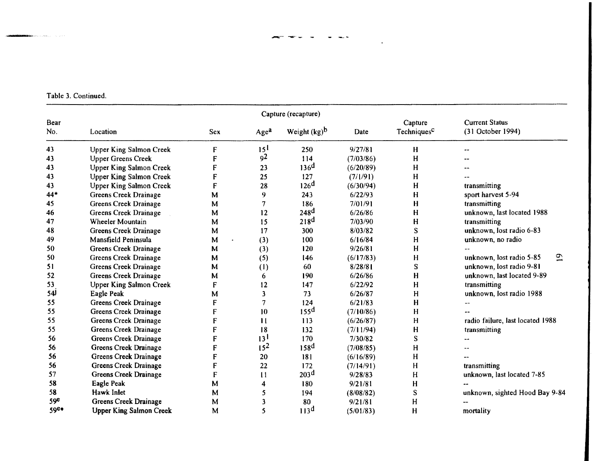$\ddot{\phantom{1}}$ 

Table 3. Continued.

| Capture (recapture) |                                |            |                  |                  |           |                                    |                                            |  |
|---------------------|--------------------------------|------------|------------------|------------------|-----------|------------------------------------|--------------------------------------------|--|
| Bear<br>No.         | Location                       | <b>Sex</b> | Age <sup>a</sup> | Weight $(kg)^b$  | Date      | Capture<br>Techniques <sup>C</sup> | <b>Current Status</b><br>(31 October 1994) |  |
| 43                  | <b>Upper King Salmon Creek</b> | F          | 15 <sup>1</sup>  | 250              | 9/27/81   | H                                  |                                            |  |
| 43                  | <b>Upper Greens Creek</b>      | F          | 92               | 114              | (7/03/86) | H                                  |                                            |  |
| 43                  | <b>Upper King Salmon Creek</b> | F          | 23               | 136 <sup>d</sup> | (6/20/89) | H                                  |                                            |  |
| 43                  | <b>Upper King Salmon Creek</b> | F          | 25               | 127              | (7/1/91)  | H                                  |                                            |  |
| 43                  | <b>Upper King Salmon Creek</b> | F          | 28               | 126 <sup>d</sup> | (6/30/94) | H                                  | transmitting                               |  |
| 44*                 | Greens Creek Drainage          | M          | 9                | 243              | 6/22/93   | н                                  | sport harvest 5-94                         |  |
| 45                  | Greens Creek Drainage          | M          | 7                | 186              | 7/01/91   | H                                  | transmitting                               |  |
| 46                  | Greens Creek Drainage          | M          | 12               | 248 <sup>d</sup> | 6/26/86   | н                                  | unknown, last located 1988                 |  |
| 47                  | Wheeler Mountain               | M          | 15               | 218 <sup>d</sup> | 7/03/90   | н                                  | transmitting                               |  |
| 48                  | Greens Creek Drainage          | M          | 17               | 300              | 8/03/82   | S                                  | unknown, lost radio 6-83                   |  |
| 49                  | Mansfield Peninsula            | M          | (3)              | 100              | 6/16/84   | н                                  | unknown, no radio                          |  |
| 50                  | Greens Creek Drainage          | M          | (3)              | 120              | 9/26/81   | н                                  |                                            |  |
| 50                  | Greens Creek Drainage          | М          | (5)              | 146              | (6/17/83) | H                                  | $\overline{5}$<br>unknown, lost radio 5-85 |  |
| 51                  | Greens Creek Drainage          | M          | (1)              | 60               | 8/28/81   | S                                  | unknown, lost radio 9-81                   |  |
| 52                  | Greens Creek Drainage          | M          | 6                | 190              | 6/26/86   | $\mathbf H$                        | unknown, last located 9-89                 |  |
| 53                  | <b>Upper King Salmon Creek</b> | F          | 12               | 147              | 6/22/92   | H                                  | transmitting                               |  |
| 54                  | Eagle Peak                     | M          | 3                | 73               | 6/26/87   | H                                  | unknown, lost radio 1988                   |  |
| 55                  | Greens Creek Drainage          | F          | 7                | 124              | 6/21/83   | H                                  |                                            |  |
| 55                  | Greens Creek Drainage          | F          | 10               | 155 <sup>d</sup> | (7/10/86) | H                                  |                                            |  |
| 55                  | Greens Creek Drainage          | F          | п                | 113              | (6/26/87) | н                                  | radio failure, last located 1988           |  |
| 55                  | Greens Creek Drainage          | F          | 18               | 132              | (7/11/94) | H                                  | transmitting                               |  |
| 56                  | Greens Creek Drainage          | F          | 13 <sup>1</sup>  | 170              | 7/30/82   | S                                  |                                            |  |
| 56                  | Greens Creek Drainage          | F          | 15 <sup>2</sup>  | 158 <sup>d</sup> | (7/08/85) | Н                                  |                                            |  |
| 56                  | Greens Creek Drainage          | F          | 20               | 181              | (6/16/89) | H                                  |                                            |  |
| 56                  | Greens Creek Drainage          | F          | 22               | 172              | (7/14/91) | H                                  | transmitting                               |  |
| 57                  | Greens Creek Drainage          | F          | $\mathbf{11}$    | 203 <sup>d</sup> | 9/28/83   | H                                  | unknown, last located 7-85                 |  |
| 58                  | Eagle Peak                     | М          | 4                | 180              | 9/21/81   | H                                  |                                            |  |
| 58                  | Hawk Inlet                     | M          | 5                | 194              | (8/08/82) | S                                  | unknown, sighted Hood Bay 9-84             |  |
| 59e                 | Greens Creek Drainage          | M          | 3                | 80               | 9/21/81   | H                                  |                                            |  |
| 59e*                | <b>Upper King Salmon Creek</b> | М          | 5                | 113 <sup>d</sup> | (5/01/83) | $\mathbf H$                        | mortality                                  |  |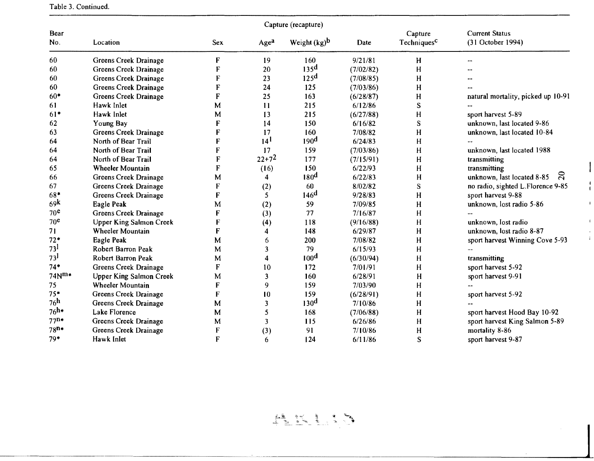|  | Table 3. Continued. |
|--|---------------------|
|  |                     |

| Capture (recapture) |                                |             |                 |                  |           |                                    |                                            |  |
|---------------------|--------------------------------|-------------|-----------------|------------------|-----------|------------------------------------|--------------------------------------------|--|
| Bear<br>No.         | Location                       | <b>Sex</b>  | Agea            | Weight $(kg)^b$  | Date      | Capture<br>Techniques <sup>c</sup> | <b>Current Status</b><br>(31 October 1994) |  |
| 60                  | Greens Creek Drainage          | F           | 19              | 160              | 9/21/81   | H                                  |                                            |  |
| 60                  | Greens Creek Drainage          | F           | 20              | 135 <sup>d</sup> | (7/02/82) | H                                  |                                            |  |
| 60                  | Greens Creek Drainage          | F           | 23              | 125 <sup>d</sup> | (7/08/85) | H                                  |                                            |  |
| 60                  | Greens Creek Drainage          | F           | 24              | 125              | (7/03/86) | H                                  |                                            |  |
| $60*$               | Greens Creek Drainage          | F           | 25              | 163              | (6/28/87) | H                                  | natural mortality, picked up 10-91         |  |
| 61                  | Hawk Inlet                     | M           | 11              | 215              | 6/12/86   | S                                  |                                            |  |
| $61*$               | Hawk Inlet                     | M           | 13              | 215              | (6/27/88) | H                                  | sport harvest 5-89                         |  |
| 62                  | Young Bay                      | F           | 14              | 150              | 6/16/82   | S                                  | unknown, last located 9-86                 |  |
| 63                  | Greens Creek Drainage          | F           | 17              | 160              | 7/08/82   | H                                  | unknown, last located 10-84                |  |
| 64                  | North of Bear Trail            | F           | 14 <sup>1</sup> | 190 <sup>d</sup> | 6/24/83   | н                                  |                                            |  |
| 64                  | North of Bear Trail            | F           | 17              | 159              | (7/03/86) | н                                  | unknown, last located 1988                 |  |
| 64                  | North of Bear Trail            | F           | $22+7^2$        | 177              | (7/15/91) | H                                  | transmitting                               |  |
| 65                  | <b>Wheeler Mountain</b>        | F           | (16)            | 150              | 6/22/93   | H                                  | transmitting                               |  |
| 66                  | Greens Creek Drainage          | M           | 4               | 180 <sup>d</sup> | 6/22/83   | H                                  | ನ<br>unknown, last located 8-85            |  |
| 67                  | Greens Creek Drainage          | F           | (2)             | 60               | 8/02/82   | S                                  | no radio, sighted L.Florence 9-85          |  |
| 68*                 | Greens Creek Drainage          | F           | 5               | 146 <sup>d</sup> | 9/28/83   | H                                  | sport harvest 9-88                         |  |
| 69k                 | Eagle Peak                     | M           | (2)             | 59               | 7/09/85   | H                                  | unknown, lost radio 5-86                   |  |
| 70 <sup>e</sup>     | Greens Creek Drainage          | F           | (3)             | 77               | 7/16/87   | H                                  |                                            |  |
| 70 <sup>e</sup>     | <b>Upper King Salmon Creek</b> | F           | (4)             | 118              | (9/16/88) | H                                  | unknown, lost radio                        |  |
| 71                  | Wheeler Mountain               | F           | 4               | 148              | 6/29/87   | H                                  | unknown, lost radio 8-87                   |  |
| $72*$               | Eagle Peak                     | M           | 6               | 200              | 7/08/82   | H                                  | sport harvest Winning Cove 5-93            |  |
| 73 <sup>1</sup>     | Robert Barron Peak             | M           | 3               | 79               | 6/15/93   | H                                  |                                            |  |
| 73 <sup>1</sup>     | Robert Barron Peak             | M           | 4               | 100 <sup>d</sup> | (6/30/94) | H                                  | transmitting                               |  |
| $74*$               | Greens Creek Drainage          | F           | 10              | 172              | 7/01/91   | H                                  | sport harvest 5-92                         |  |
| $74N^{m*}$          | Upper King Salmon Creek        | M           | 3               | 160              | 6/28/91   | H                                  | sport harvest 9-91                         |  |
| 75                  | Wheeler Mountain               | F           | 9               | 159              | 7/03/90   | H                                  |                                            |  |
| $75*$               | Greens Creek Drainage          | $\mathbf F$ | 10              | 159              | (6/28/91) | H                                  | sport harvest 5-92                         |  |
| 76 <sup>h</sup>     | Greens Creek Drainage          | M           | 3               | 130 <sup>d</sup> | 7/10/86   | H                                  |                                            |  |
| $76h+$              | Lake Florence                  | M           | 5               | 168              | (7/06/88) | H                                  | sport harvest Hood Bay 10-92               |  |
| $77n*$              | Greens Creek Drainage          | M           | 3               | 115              | 6/26/86   | H                                  | sport harvest King Salmon 5-89             |  |
| $78n*$              | Greens Creek Drainage          | F           | (3)             | 91               | 7/10/86   | H                                  | mortality 8-86                             |  |
| $79*$               | Hawk Inlet                     | F           | 6               | 124              | 6/11/86   | S                                  | sport harvest 9-87                         |  |



 $\overline{\mathbf{I}}$ 

 $\sim 10^7$ 

 $\blacktriangleleft$  $\mathbf{t}$ 

 $\epsilon$  $\frac{1}{4}$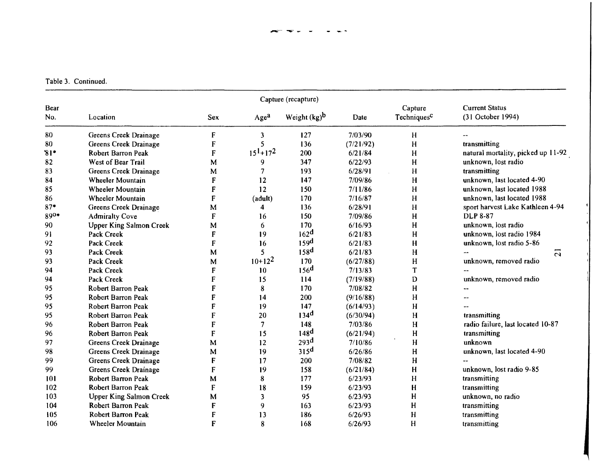|             |                                |             |                 | Capture (recapture) |           |                                    |                                            |
|-------------|--------------------------------|-------------|-----------------|---------------------|-----------|------------------------------------|--------------------------------------------|
| Bear<br>No. | Location                       | Sex         | Agea            | Weight $(kg)^b$     | Date      | Capture<br>Techniques <sup>C</sup> | <b>Current Status</b><br>(31 October 1994) |
| 80          | Greens Creek Drainage          | F           | 3               | 127                 | 7/03/90   | H                                  |                                            |
| 80          | Greens Creek Drainage          | $\mathbf F$ | 5               | 136                 | (7/21/92) | H                                  | transmitting                               |
| $31*$       | Robert Barron Peak             | F           | $15^{1}+17^{2}$ | 200                 | 6/21/84   | H                                  | natural mortality, picked up 11-92         |
| 82          | West of Bear Trail             | M           | 9               | 347                 | 6/22/93   | H                                  | unknown, lost radio                        |
| 83          | Greens Creek Drainage          | M           |                 | 193                 | 6/28/91   | H                                  | transmitting                               |
| 84          | Wheeler Mountain               | F           | 12              | 147                 | 7/09/86   | H                                  | unknown, last located 4-90                 |
| 85          | <b>Wheeler Mountain</b>        | $\mathbf F$ | 12              | 150                 | 7/11/86   | H                                  | unknown, last located 1988                 |
| 86          | Wheeler Mountain               | $\mathbf F$ | (adult)         | 170                 | 7/16/87   | H                                  | unknown, last located 1988                 |
| $87*$       | Greens Creek Drainage          | M           | 4               | 136                 | 6/28/91   | H                                  | sport harvest Lake Kathleen 4-94           |
| 890*        | <b>Admiralty Cove</b>          | F           | 16              | 150                 | 7/09/86   | H                                  | <b>DLP 8-87</b>                            |
| 90          | <b>Upper King Salmon Creek</b> | M           | 6               | 170                 | 6/16/93   | H                                  | unknown, lost radio                        |
| 91          | Pack Creek                     | F           | 19              | 162 <sup>d</sup>    | 6/21/83   | H                                  | unknown, lost radio 1984                   |
| 92          | Pack Creek                     | $\mathbf F$ | 16              | 159 <sup>d</sup>    | 6/21/83   | H                                  | unknown, lost radio 5-86                   |
| 93          | Pack Creek                     | M           | 5               | 158 <sup>d</sup>    | 6/21/83   | H                                  | $\overline{c}$                             |
| 93          | Pack Creek                     | M           | $10+12^2$       | 170                 | (6/27/88) | H                                  | unknown, removed radio                     |
| 94          | Pack Creek                     | $\mathbf F$ | 10              | 156 <sup>d</sup>    | 7/13/83   | T                                  |                                            |
| 94          | Pack Creek                     | F           | 15              | 114                 | (7/19/88) | D                                  | unknown, removed radio                     |
| 95          | Robert Barron Peak             | F           | 8               | 170                 | 7/08/82   | H                                  | $\overline{a}$                             |
| 95          | Robert Barron Peak             | F           | 14              | 200                 | (9/16/88) | H                                  |                                            |
| 95          | Robert Barron Peak             | F           | 19              | 147                 | (6/14/93) | н                                  |                                            |
| 95          | Robert Barron Peak             | F           | 20              | 134 <sup>d</sup>    | (6/30/94) | H                                  | transmitting                               |
| 96          | Robert Barron Peak             | F           | 7               | 148                 | 7/03/86   | H                                  | radio failure, last located 10-87          |
| 96          | Robert Barron Peak             | F           | 15              | 148 <sup>d</sup>    | (6/21/94) | H                                  | transmitting                               |
| 97          | Greens Creek Drainage          | M           | 12              | 293 <sup>d</sup>    | 7/10/86   | H                                  | unknown                                    |
| 98          | Greens Creek Drainage          | M           | 19              | 315 <sup>d</sup>    | 6/26/86   | H                                  | unknown, last located 4-90                 |
| 99          | Greens Creek Drainage          | F           | 17              | 200                 | 7/08/82   | $\mathbf H$                        |                                            |
| 99          | Greens Creek Drainage          | F           | 19              | 158                 | (6/21/84) | H                                  | unknown, lost radio 9-85                   |
| 101         | <b>Robert Barron Peak</b>      | M           | 8               | 177                 | 6/23/93   | H                                  | transmitting                               |
| 102         | Robert Barron Peak             | F           | 18              | 159                 | 6/23/93   | Н                                  | transmitting                               |
| 103         | <b>Upper King Salmon Creek</b> | M           | 3               | 95                  | 6/23/93   | H                                  | unknown, no radio                          |
| 104         | Robert Barron Peak             | F           | 9               | 163                 | 6/23/93   | H                                  | transmitting                               |
| 105         | Robert Barron Peak             | $\mathbf F$ | 13              | 186                 | 6/26/93   | $\mathbf H$                        | transmitting                               |
| 106         | <b>Wheeler Mountain</b>        | F           | 8               | 168                 | 6/26/93   | H                                  | transmitting                               |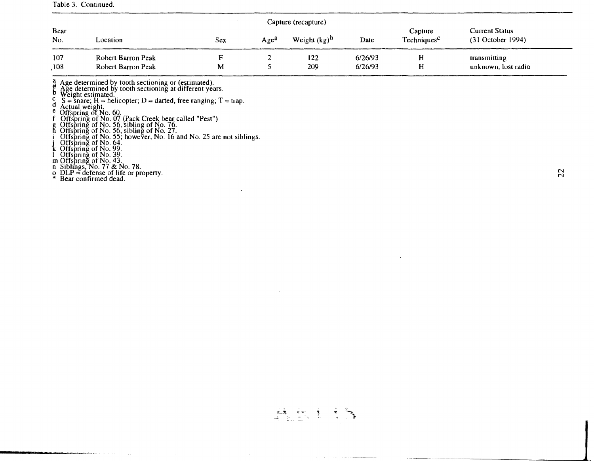#### Table 3. Continued.

| Capture (recapture) |                                          |     |                  |                 |                    |                                    |                                     |  |  |
|---------------------|------------------------------------------|-----|------------------|-----------------|--------------------|------------------------------------|-------------------------------------|--|--|
| <b>Bear</b><br>No.  | Location                                 | Sex | Age <sup>a</sup> | Weight $(kg)^D$ | Date               | Capture<br>Techniques <sup>C</sup> | Current Status<br>(31 October 1994) |  |  |
| 107<br>,108         | Robert Barron Peak<br>Robert Barron Peak | M   |                  | 122<br>209      | 6/26/93<br>6/26/93 | Н                                  | transmitting<br>unknown, lost radio |  |  |

 $\frac{a}{\mu}$  Age determined by tooth sectioning or (estimated).<br>B—Age determined by tooth sectioning at different years.<br>Weight estimated.

c weight estimated.<br>
d S = snare; H = helicopter; D = darted, free ranging; T = trap.<br>
d Actual weight.<br>
e Offspring of No. 07 (Pack Creek bear called "Pest")<br>
g Offspring of No. 26, sibling of No. 76.

h Offspring of No. 56, sibling of No. 27.<br>i Offspring of No. 55; however, No. 16 and No. 25 are not siblings.<br>j Offspring of No. 64.

k Offspring of No. 99.

I Offspring of No. 39.<br>m Offspring of No. 43.<br>n Siblings, No. 77 & No. 78.

o  $DLP =$  defense of life or property.<br>\* Bear confirmed dead.

\_\_\_\_\_\_\_\_\_\_\_\_\_\_.\_j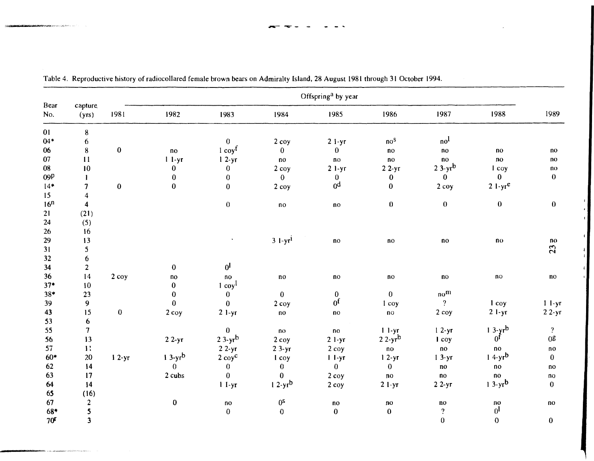|                 |                         |          |                        |                        |                        | Offspring <sup>a</sup> by year |                        |                        |                        |                        |
|-----------------|-------------------------|----------|------------------------|------------------------|------------------------|--------------------------------|------------------------|------------------------|------------------------|------------------------|
| Bear<br>No.     | capture<br>(yrs)        | 1981     | 1982                   | 1983                   | 1984                   | 1985                           | 1986                   | 1987                   | 1988                   | 1989                   |
| 01              | ${\bf 8}$               |          |                        |                        |                        |                                |                        |                        |                        |                        |
| $04*$           | 6                       |          |                        | $\bf{0}$               | 2 coy                  | $21-yr$                        | no <sup>s</sup>        | no <sup>1</sup>        |                        |                        |
| 06              | 8                       | $\bf{0}$ | $\mathbf{n}\mathbf{o}$ | $1$ coy $f$            | $\bf{0}$               | $\mathbf{0}$                   | no                     | no                     | $\mathbf{no}$          | $\mathbf{n}$           |
| 07              | 11                      |          | $l - yr$               | $12-yr$                | $\mathbf{n}\mathbf{o}$ | no                             | no                     | $\mathbf{n}\mathbf{o}$ | $\mathbf{n}\mathbf{o}$ | no                     |
| 08              | 10                      |          | $\bf{0}$               | $\bf{0}$               | $2$ coy                | $21-yr$                        | $22-yr$                | $23-yr^b$              | I coy                  | $\mathbf{n}$           |
| 09P             | 1                       |          | $\bf{0}$               | $\bf{0}$               | $\mathbf{0}$           | $\bf{0}$                       | $\bf{0}$               | $\bf{0}$               | $\bf{0}$               | $\mathbf{0}$           |
| $14*$           | $\overline{7}$          | $\bf{0}$ | $\mathbf{0}$           | $\bf{0}$               | $2$ coy                | 0 <sup>d</sup>                 | $\mathbf{0}$           | $2$ coy                | $21-yr^e$              |                        |
| 15              | $\overline{\mathbf{4}}$ |          |                        |                        |                        |                                |                        |                        |                        |                        |
| 16 <sup>n</sup> | $\overline{4}$          |          |                        | $\bf{0}$               | no                     | $\mathbf{n}\mathbf{o}$         | $\bf{0}$               | $\bf{0}$               | $\bf{0}$               | $\bf{0}$               |
| 21              | (21)                    |          |                        |                        |                        |                                |                        |                        |                        |                        |
| 24              | (5)                     |          |                        |                        |                        |                                |                        |                        |                        |                        |
| 26              | 16                      |          |                        |                        |                        |                                |                        |                        |                        |                        |
| 29              | 13                      |          |                        |                        | $3$ 1-yr <sup>i</sup>  | $\mathbf{n}$                   | $\mathbf{n}$           | no                     | $\mathbf{n}\mathbf{o}$ | no                     |
| 31              | 5                       |          |                        |                        |                        |                                |                        |                        |                        | 23                     |
| 32              | $\boldsymbol{6}$        |          |                        |                        |                        |                                |                        |                        |                        |                        |
| 34              | $\overline{2}$          |          | $\bf{0}$               | $0^{\mathsf{l}}$       |                        |                                |                        |                        |                        |                        |
| 36              | 14                      | $2 \cos$ | $\mathbf{no}$          | $\mathbf{n}\mathbf{o}$ | $\mathbf{n}\mathbf{o}$ | $\mathbf{n}\mathbf{o}$         | $\mathbf{n}\mathbf{o}$ | no                     | no                     | $\mathbf{n}$           |
| $37*$           | 10                      |          | $\bf{0}$               | $1 \cos^1$             |                        |                                |                        |                        |                        |                        |
| $38*$           | 23                      |          | $\bf{0}$               | $\mathbf{0}$           | $\bf{0}$               | $\bf{0}$                       | $\mathbf{0}$           | no <sup>m</sup>        |                        |                        |
| 39              | 9                       |          | $\mathbf{0}$           | $\bf{0}$               | $2$ coy                | $0^\mathrm{f}$                 | l coy                  | $\overline{?}$         | 1 <sub>coy</sub>       | $11-yr$                |
| 43              | 15                      | $\bf{0}$ | 2 coy                  | $21-yr$                | $\mathbf{n}\mathbf{o}$ | $\mathbf{n}\mathbf{o}$         | $\mathbf{n}$ o         | $2$ coy                | $21-yr$                | $22-yr$                |
| 53              | 6                       |          |                        |                        |                        |                                |                        |                        |                        |                        |
| 55              | $\overline{7}$          |          |                        | $\bf{0}$               | n <sub>0</sub>         | no                             | $11-yr$                | $12-yr$                | $13-yrb$               | $\overline{2}$         |
| 56              | 13                      |          | $22-yr$                | $23-yr^b$              | 2 <sub>copy</sub>      | $2 1-yr$                       | $22-yr^b$              | 1 coy                  | 0 <sup>f</sup>         | 0 <sup>g</sup>         |
| 57              | $\mathbf{R}$            |          |                        | $22-yr$                | $23-yr$                | $2$ coy                        | no                     | no                     | no                     | $\mathbf{n}\mathbf{o}$ |
| $60*$           | 20                      | $12-yr$  | $13-yrb$               | $2 \cos^c$             | 1 coy                  | $11-yr$                        | $12-yr$                | $13-yr$                | $14-yrb$               | $\bf{0}$               |
| 62              | 14                      |          | $\bf{0}$               | $\bf{0}$               | $\bf{0}$               | $\bf{0}$                       | $\bf{0}$               | $\mathbf{n}\mathbf{o}$ | no                     | no                     |
| 63              | 17                      |          | 2 cubs                 | $\bf{0}$               | $\bf{0}$               | $2$ coy                        | $\mathbf{n}$ o         | no                     | no                     | no                     |
| 64              | 14                      |          |                        | $1 I-yr$               | $12-yr^b$              | $2$ coy                        | $21-yr$                | $22-yr$                | $13-yr^b$              | $\bf{0}$               |
| 65              | (16)                    |          |                        |                        |                        |                                |                        |                        |                        |                        |
| 67              | $\overline{2}$          |          | $\pmb{0}$              | $\mathbf{n}\mathbf{o}$ | $0^{\mathsf{S}}$       | $\mathbf{n}\mathbf{o}$         | $\mathbf{n}$ o         | $\mathbf{n}\mathbf{o}$ | $\mathbf{n}\mathbf{o}$ | no                     |
| 68*             | $\mathbf{5}$            |          |                        | $\pmb{0}$              | $\pmb{0}$              | $\bf{0}$                       | $\bf{0}$               | $\overline{?}$         | 0 <sup>1</sup>         |                        |
| 70 <sup>r</sup> | $\overline{\mathbf{3}}$ |          |                        |                        |                        |                                |                        | $\bf{0}$               | $\mathbf 0$            | $\bf{0}$               |

 $\bullet$  $\mathcal{X}$ 

Table 4. Reproductive history of radiocollared female brown bears on Admiralty Island, 28 August 1981 through 31 October 1994.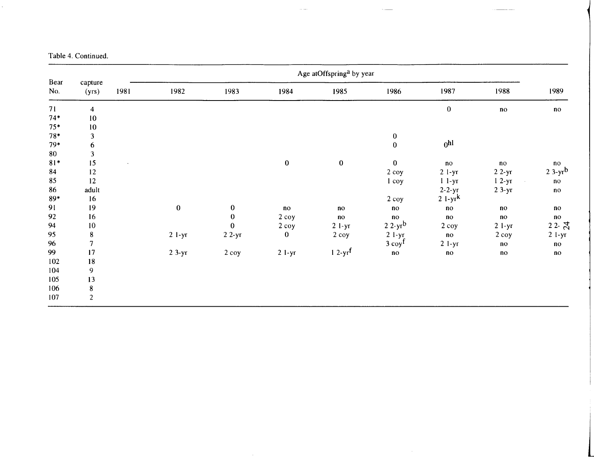| Table 4. Continued. |  |
|---------------------|--|
|---------------------|--|

|             |                  |      |           |                  |                 | Age atOffspring <sup>a</sup> by year |                        |                 |                        |               |
|-------------|------------------|------|-----------|------------------|-----------------|--------------------------------------|------------------------|-----------------|------------------------|---------------|
| Bear<br>No. | capture<br>(yrs) | 1981 | 1982      | 1983             | 1984            | 1985                                 | 1986                   | 1987            | 1988                   | 1989          |
| 71          | $\overline{4}$   |      |           |                  |                 |                                      |                        | $\pmb{0}$       | $\mathbf{n}\mathbf{o}$ | $\mathbf{n}$  |
| $74*$       | $10\,$           |      |           |                  |                 |                                      |                        |                 |                        |               |
| $75*$       | $10\,$           |      |           |                  |                 |                                      |                        |                 |                        |               |
| $78*$       | $\mathbf{3}$     |      |           |                  |                 |                                      | $\pmb{0}$              |                 |                        |               |
| $79*$       | 6                |      |           |                  |                 |                                      | $\mathbf{0}$           | 0 <sup>h1</sup> |                        |               |
| 80          | 3                |      |           |                  |                 |                                      |                        |                 |                        |               |
| $81*$       | 15               |      |           |                  | $\bf{0}$        | $\pmb{0}$                            | $\bf{0}$               | no              | no                     | $\mathbf{n}$  |
| 84          | 12               |      |           |                  |                 |                                      | 2 coy                  | $2 1-yr$        | $22-yr$                | $23-yr^b$     |
| 85          | 12               |      |           |                  |                 |                                      | $1 \cos$               | $11-yr$         | $12-yr$                | $\mathbf{no}$ |
| 86          | adult            |      |           |                  |                 |                                      |                        | $2-2-yr$        | $23-yr$                | $\mathbf{n}$  |
| $89*$       | 16               |      |           |                  |                 |                                      | $2 \cos$               | $21-yrk$        |                        |               |
| 91          | 19               |      | $\pmb{0}$ | $\boldsymbol{0}$ | $\overline{10}$ | no                                   | $\overline{no}$        | $\mathbf{n}$    | n <sub>0</sub>         | no            |
| 92          | 16               |      |           | $\pmb{0}$        | $2$ coy         | $\mathbf{n}$                         | $\mathbf{n}\mathbf{o}$ | $\mathbf{n}$    | no                     | no            |
| 94          | 10               |      |           | $\bf{0}$         | 2 coy           | $21-yr$                              | $22-yr^b$              | $2$ coy         | $2$ l-yr               | $22 - 5$      |
| 95          | ${\bf 8}$        |      | $2$ 1-yr  | $22-yr$          | $\bf{0}$        | 2 coy                                | $2$ l-yr               | no              | 2 coy                  | $21-yr$       |
| 96          |                  |      |           |                  |                 |                                      | $3$ coy <sup>f</sup>   | $21-yr$         | $\mathbf{n}\mathbf{o}$ | $\mathbf{n}$  |
| 99          | 17               |      | $23-yr$   | $2$ coy          | $21-yr$         | $12-yr$ <sup>f</sup>                 | $\mathbf{n}\mathbf{o}$ | no              | $\mathbf{n}$           | no            |
| 102         | 18               |      |           |                  |                 |                                      |                        |                 |                        |               |
| 104         | $\boldsymbol{9}$ |      |           |                  |                 |                                      |                        |                 |                        |               |
| 105         | 13               |      |           |                  |                 |                                      |                        |                 |                        |               |
| 106         | ${\bf 8}$        |      |           |                  |                 |                                      |                        |                 |                        |               |
| 107         | $\sqrt{2}$       |      |           |                  |                 |                                      |                        |                 |                        |               |

 $\sim 10^7$ 

 $\frac{1}{2} \left( \frac{1}{2} \right) \left( \frac{1}{2} \right) \left( \frac{1}{2} \right) \left( \frac{1}{2} \right) \left( \frac{1}{2} \right) \left( \frac{1}{2} \right) \left( \frac{1}{2} \right) \left( \frac{1}{2} \right) \left( \frac{1}{2} \right) \left( \frac{1}{2} \right) \left( \frac{1}{2} \right) \left( \frac{1}{2} \right) \left( \frac{1}{2} \right) \left( \frac{1}{2} \right) \left( \frac{1}{2} \right) \left( \frac{1}{2} \right) \left( \frac$ 

l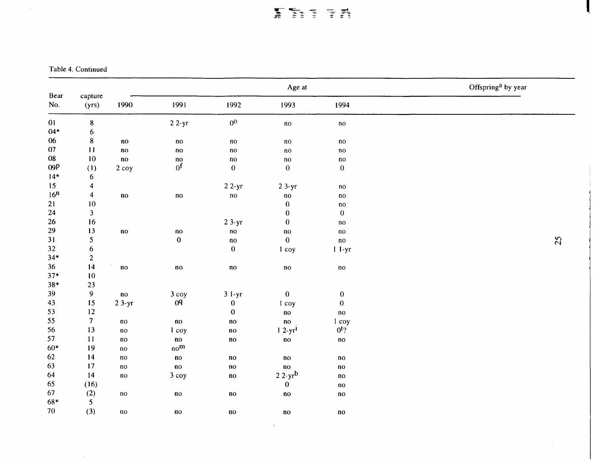# **FRITH**

L

 $\sim$ 

Table 4. Continued

 $\sim 100$ 

 $\mathcal{L}(\mathbf{z})$  , and  $\mathcal{L}(\mathbf{z})$ 

|                 |                         |                        |                        |                        | Age at                 |                        | Offspring <sup>a</sup> by year |    |
|-----------------|-------------------------|------------------------|------------------------|------------------------|------------------------|------------------------|--------------------------------|----|
| Bear<br>No.     | capture<br>(yrs)        | 1990                   | 1991                   | 1992                   | 1993                   | 1994                   |                                |    |
| 01              | ${\bf 8}$               |                        | $22-yr$                | 0 <sup>0</sup>         | $\mathbf{n}\mathbf{o}$ | $\mathbf{n}\mathbf{o}$ |                                |    |
| $04*$           | 6                       |                        |                        |                        |                        |                        |                                |    |
| 06              | ${\bf 8}$               | $\mathbf{n}\mathbf{o}$ | $\mathbf{n}\mathbf{o}$ | $\mathbf{n}\mathbf{o}$ | $\mathbf{n}\mathbf{o}$ | $\mathbf{n}\mathbf{o}$ |                                |    |
| $07\,$          | 11                      | $\mathbf{n}$ o         | $\mathbf{n}\mathbf{o}$ | $\mathbf{n}\mathbf{o}$ | $\mathbf{n}\mathbf{o}$ | $\mathbf{n}\mathbf{o}$ |                                |    |
| $08\,$          | $10\,$                  | $\mathbf{n}\mathbf{o}$ | $\mathbf{n}$           | $\mathbf{n}\mathbf{o}$ | $\mathbf{n}\mathbf{o}$ | $\mathbf{n}\mathbf{o}$ |                                |    |
| 09P             | (1)                     | 2 coy                  | 0 <sup>f</sup>         | $\pmb{0}$              | $\mathbf 0$            | $\pmb{0}$              |                                |    |
| $14*$           | 6                       |                        |                        |                        |                        |                        |                                |    |
| 15              | $\boldsymbol{4}$        |                        |                        | $22-yr$                | $23-yr$                | $\mathbf{n}\mathbf{o}$ |                                |    |
| 16 <sup>n</sup> | $\overline{4}$          | $\mathbf{n}$ o         | $\mathbf{n}$           | $\mathbf{n}\mathbf{o}$ | $\mathbf{n}\mathbf{o}$ | $\mathbf{n}\mathbf{o}$ |                                |    |
| 21              | $10\,$                  |                        |                        |                        | $\bf{0}$               | $\mathbf{n}\mathbf{o}$ |                                |    |
| $24\,$          | $\overline{\mathbf{3}}$ |                        |                        |                        | $\bf{0}$               | $\bf{0}$               |                                |    |
| 26              | 16                      |                        |                        | $23-yr$                | $\bf{0}$               | $\mathbf{n}$           |                                |    |
| 29              | 13                      | $\mathbf{n}\mathbf{o}$ | $\mathbf{n}\mathbf{o}$ | $\mathbf{n}\mathbf{o}$ | $\mathbf{n}\mathbf{o}$ | $\mathbf{n}\mathbf{o}$ |                                |    |
| 31              | 5                       |                        | $\bf{0}$               | $\mathbf{n}\mathbf{o}$ | $\bf{0}$               | $\mathbf{n}$           |                                | 25 |
| 32              | $\boldsymbol{6}$        |                        |                        | $\bf{0}$               | 1 coy                  | $11-yr$                |                                |    |
| $34*$           | $\overline{2}$          |                        |                        |                        |                        |                        |                                |    |
| 36              | 14                      | $\mathbf{n}\mathbf{o}$ | $\mathbf{n}\mathbf{o}$ | $\mathbf{n}\mathbf{o}$ | $\mathbf{n}\mathbf{o}$ | $\mathbf{n}\mathbf{o}$ |                                |    |
| $37*$           | 10                      |                        |                        |                        |                        |                        |                                |    |
| $38*$           | 23                      |                        |                        |                        |                        |                        |                                |    |
| 39              | 9                       | $\mathbf{n}\mathbf{o}$ | 3 coy                  | $31-yr$                | $\bf{0}$               | $\pmb{0}$              |                                |    |
| 43              | 15                      | $23-yr$                | 0 <sup>q</sup>         | $\pmb{0}$              | 1 coy                  | $\pmb{0}$              |                                |    |
| 53              | $12 \,$                 |                        |                        | $\bf{0}$               | $\mathbf{n}\mathbf{o}$ | $\mathbf{n}$           |                                |    |
| 55              | $\overline{7}$          | $\mathbf{n}\mathbf{o}$ | $\mathbf{n}\mathbf{o}$ | $\mathbf{n}\mathbf{o}$ | $\mathbf{n}\mathbf{o}$ | 1 coy                  |                                |    |
| 56              | 13                      | $\mathbf{n}\mathbf{o}$ | 1 coy                  | $\mathbf{n}\mathbf{o}$ | $12-yr^1$              | $0t$ ?                 |                                |    |
| 57              | 11                      | $\mathbf{n}\mathbf{o}$ | $\mathbf{n}\mathbf{o}$ | $\mathbf{n}\mathbf{o}$ | $\mathbf{n}$           | $\mathbf{n}\mathbf{o}$ |                                |    |
| $60*$           | 19                      | $\mathbf{n}\mathbf{o}$ | no <sup>m</sup>        |                        |                        |                        |                                |    |
| 62              | 14                      | $\mathbf{n}\mathbf{o}$ | $\mathbf{n}\mathbf{o}$ | $\mathbf{n}$           | $\mathbf{n}$ o         | $\mathbf{n}\mathbf{o}$ |                                |    |
| 63              | 17                      | $\mathbf{n}\mathbf{o}$ | $\mathbf{n}\mathbf{o}$ | $\mathbf{no}$          | $\mathbf{n}$           | $\mathbf{n}\mathbf{o}$ |                                |    |
| 64              | 14                      | $\mathbf{n}\mathbf{o}$ | $3$ coy                | $\mathbf{n}\mathbf{o}$ | $22-yr^b$              | $\mathbf{n}\mathbf{o}$ |                                |    |
| 65              | (16)                    |                        |                        |                        | $\bf{0}$               | $\mathbf{n}\mathbf{o}$ |                                |    |
| 67              | (2)                     | $\mathbf{n}\mathbf{o}$ | $\mathbf{n}\mathbf{o}$ | $\mathbf{n}\mathbf{o}$ | $\mathbf{n}\mathbf{o}$ | $\mathbf{n}\mathbf{o}$ |                                |    |
| 68*             | 5 <sup>5</sup>          |                        |                        |                        |                        |                        |                                |    |
| 70              | (3)                     | $\mathbf{n}\mathbf{o}$ | $\mathbf{n}\mathbf{o}$ | $\mathbf{n}\mathbf{o}$ | $\mathbf{n}\mathbf{o}$ | $\mathbf{n}\mathbf{o}$ |                                |    |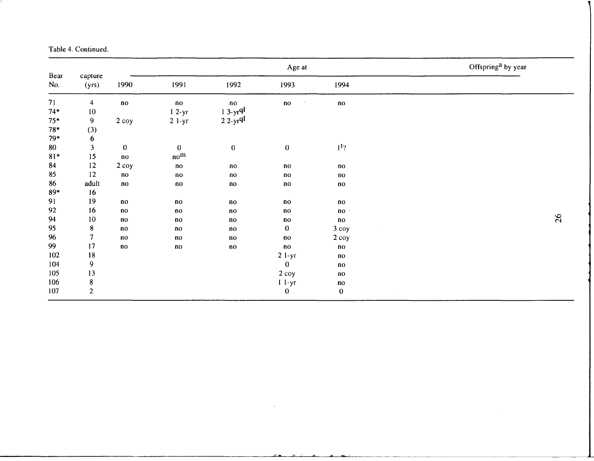#### Table 4. Continued.

|                               |                                                   |                                          |                                                  |                                                  | Age at                                 |                                                  | Offspring <sup>a</sup> by year |
|-------------------------------|---------------------------------------------------|------------------------------------------|--------------------------------------------------|--------------------------------------------------|----------------------------------------|--------------------------------------------------|--------------------------------|
| Bear<br>No.                   | capture<br>(yrs)                                  | 1990                                     | 1991                                             | 1992                                             | 1993                                   | 1994                                             |                                |
| 71<br>$74*$<br>$75*$<br>$78*$ | $\overline{4}$<br>$10\,$<br>$\overline{9}$<br>(3) | $\mathbf{n}$<br>$2$ coy                  | $\mathbf{n}\mathbf{o}$<br>$12-yr$<br>$21-yr$     | $\mathbf{n}\mathbf{o}$<br>$13-yrq$<br>$22-yrql$  | $\mathbf{n}\mathbf{o}$<br>$\bullet$    | $\mathbf{n}\mathbf{o}$                           |                                |
| $79*$<br>80<br>$81*$          | $\boldsymbol{6}$<br>$\overline{\mathbf{3}}$<br>15 | $\mathbf 0$<br>no                        | $\bf{0}$<br>no <sup>m</sup>                      | $\boldsymbol{0}$                                 | $\mathbf 0$                            | 1 <sup>t</sup>                                   |                                |
| 84<br>85                      | 12<br>12                                          | $2$ coy<br>$\mathbf{n}$ o                | no<br>no                                         | $\mathbf{n}\mathbf{o}$<br>$\mathbf{n}\mathbf{o}$ | $\mathbf{n}\mathbf{o}$<br>$\mathbf{n}$ | $\mathbf{n}\mathbf{o}$<br>$\mathbf{n}\mathbf{o}$ |                                |
| 86<br>$89*$                   | adult<br>16                                       | $\mathbf{n}$ o                           | $\mathbf{n}\mathbf{o}$                           | $\mathbf{n}\mathbf{o}$                           | $\mathbf{n}\mathbf{o}$                 | $\mathbf{n}\mathbf{o}$                           |                                |
| 91<br>92                      | 19<br>16                                          | n <sub>0</sub><br>$\mathbf{n}\mathbf{o}$ | no<br>n <sub>o</sub>                             | no<br>no                                         | no<br>no                               | $\mathbf{n}\mathbf{o}$<br>no ·                   |                                |
| 94                            | $10\,$                                            | $\mathbf{n}$                             | no                                               | no                                               | no                                     | $\mathbf{n}\mathbf{o}$                           | 26                             |
| 95<br>96                      | $\bf 8$<br>$\overline{7}$                         | n <sub>o</sub><br>n <sub>o</sub>         | $\mathbf{n}\mathbf{o}$<br>$\mathbf{n}\mathbf{o}$ | no<br>no                                         | $\bf{0}$<br>$\mathbf{n}\mathbf{o}$     | $3$ coy<br>2 coy                                 |                                |
| 99<br>102                     | 17<br>18                                          | no                                       | $\mathbf{n}\mathbf{o}$                           | n <sub>O</sub>                                   | no<br>$21-yr$                          | $\mathbf{n}\mathbf{o}$<br>$\mathbf{n}\mathbf{o}$ |                                |
| 104<br>105<br>106             | $\overline{9}$<br>13<br>${\bf 8}$                 |                                          |                                                  |                                                  | $\bf{0}$<br>2 coy                      | $\mathbf{n}\mathbf{o}$<br>$\mathbf{n}\mathbf{o}$ |                                |
| 107                           | $\overline{2}$                                    |                                          |                                                  |                                                  | $11-yr$<br>$\boldsymbol{0}$            | $\mathbf{n}\mathbf{o}$<br>$\boldsymbol{0}$       |                                |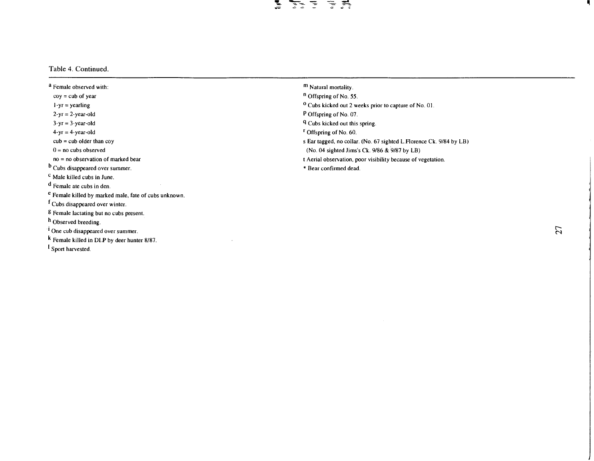#### 医 手弄

#### Table 4. Continued.

a Female observed with:  $coy = cub of year$  $1-yr =$ yearling  $2-yr = 2-year-old$  $3-yr = 3-year-old$  $4-yr = 4-year-old$  $cub = cub$  older than  $coy$  $0 =$  no cubs observed no = no observation of marked bear b Cubs disappeared over summer. c Male killed cubs in June. d Female ate cubs in den. e Female killed by marked inale, fate of cubs unknown. <sup>1</sup> Cubs disappeared over winter. g Female lactating but no cubs present. <sup>11</sup> Observed breeding. <sup>1</sup> One cub disappeared over summer. k Female killed in DL.P by deer hunter 8/87. 1Sport harvested.

- m Natural mortality.
- n Offspring of No. *55.*
- °Cubs kicked out 2 weeks prior to capture of No. OJ.
- P Offspring of No. 07.
- q Cubs kicked out this spring.
- r Offspring of No. 60.
- s Ear tagged, no collar. (No. 67 sighted L.Florence Ck. 9/84 by LB)
- (No. 04 sighted Jims's Ck. 9/86 & 9/87 by LB)
- t Aerial observation, poor visibility because of vegetation.
- Bear confirmed dead.

 $\overline{27}$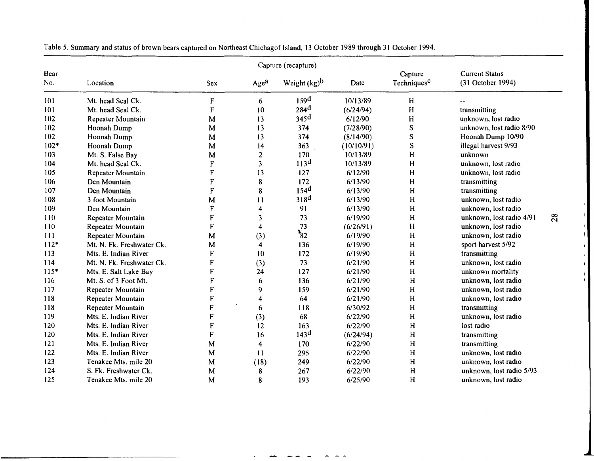|             |                           |              |                         | Capture (recapture) |            |                                    |                                            |    |
|-------------|---------------------------|--------------|-------------------------|---------------------|------------|------------------------------------|--------------------------------------------|----|
| Bear<br>No. | Location                  | <b>Sex</b>   | Agea                    | Weight $(kg)^b$     | Date       | Capture<br>Techniques <sup>c</sup> | <b>Current Status</b><br>(31 October 1994) |    |
| 101         | Mt. head Seal Ck.         | ${\bf F}$    | 6                       | 159 <sup>d</sup>    | 10/13/89   | H                                  |                                            |    |
| 101         | Mt. head Seal Ck.         | $\mathbf{F}$ | 10                      | 284 <sup>d</sup>    | (6/24/94)  | H                                  | transmitting                               |    |
| 102         | Repeater Mountain         | M            | 13                      | 345 <sup>d</sup>    | 6/12/90    | H                                  | unknown, lost radio                        |    |
| 102         | Hoonah Dump               | M            | 13                      | 374                 | (7/28/90)  | ${\bf S}$                          | unknown, lost radio 8/90                   |    |
| 102         | Hoonah Dump               | M            | 13                      | 374                 | (8/14/90)  | S                                  | Hoonah Dump 10/90                          |    |
| $102*$      | Hoonah Dump               | M            | 14                      | 363                 | (10/10/91) | S                                  | illegal harvest 9/93                       |    |
| 103         | Mt. S. False Bay          | M            | $\overline{2}$          | 170                 | 10/13/89   | H                                  | unknown                                    |    |
| 104         | Mt. head Seal Ck.         | F            | $\overline{\mathbf{3}}$ | 113 <sup>d</sup>    | 10/13/89   | H                                  | unknown, lost radio                        |    |
| 105         | Repeater Mountain         | F            | 13                      | 127                 | 6/12/90    | H                                  | unknown, lost radio                        |    |
| 106         | Den Mountain              | F            | 8                       | 172                 | 6/13/90    | H                                  | transmitting                               |    |
| 107         | Den Mountain              | F            | 8                       | 154 <sup>d</sup>    | 6/13/90    | H                                  | transmitting                               |    |
| 108         | 3 foot Mountain           | M            | 11                      | 318 <sup>d</sup>    | 6/13/90    | H                                  | unknown, lost radio                        |    |
| 109         | Den Mountain              | F            | 4                       | 91                  | 6/13/90    | H                                  | unknown, lost radio                        |    |
| 110         | Repeater Mountain         | ${\bf F}$    | 3                       | 73                  | 6/19/90    | $\overline{\mathsf{H}}$            | unknown, lost radio 4/91                   | 28 |
| 110         | Repeater Mountain         | F            | $\overline{\mathbf{4}}$ | 73                  | (6/26/91)  | H                                  | unknown, lost radio                        |    |
| 111         | <b>Repeater Mountain</b>  | M            | (3)                     | $\frac{1}{82}$      | 6/19/90    | H                                  | unknown, lost radio                        |    |
| $112*$      | Mt. N. Fk. Freshwater Ck. | M            | $\overline{\mathbf{4}}$ | 136                 | 6/19/90    | H                                  | sport harvest 5/92                         |    |
| 113         | Mts. E. Indian River      | $\mathbf F$  | 10                      | 172                 | 6/19/90    | H                                  | transmitting                               |    |
| 114         | Mt. N. Fk. Freshwater Ck. | ${\bf F}$    | (3)                     | 73                  | 6/21/90    | H                                  | unknown, lost radio                        |    |
| $115*$      | Mts. E. Salt Lake Bay     | $\mathbf F$  | 24                      | 127                 | 6/21/90    | H                                  | unknown mortality                          |    |
| 116         | Mt. S. of 3 Foot Mt.      | ${\bf F}$    | 6                       | 136                 | 6/21/90    | H                                  | unknown, lost radio                        |    |
| 117         | Repeater Mountain         | F            | 9                       | 159                 | 6/21/90    | H                                  | unknown, lost radio                        |    |
| 118         | Repeater Mountain         | F            | 4                       | 64                  | 6/21/90    | H                                  | unknown, lost radio                        |    |
| 118         | Repeater Mountain         | $\mathbf{F}$ | 6                       | 118                 | 6/30/92    | H                                  | transmitting                               |    |
| 119         | Mts. E. Indian River      | $\mathbf F$  | (3)                     | 68                  | 6/22/90    | H                                  | unknown, lost radio                        |    |
| 120         | Mts. E. Indian River      | F            | 12                      | 163                 | 6/22/90    | H                                  | lost radio                                 |    |
| 120         | Mts. E. Indian River      | $\mathbf{F}$ | 16                      | 143 <sup>d</sup>    | (6/24/94)  | H                                  | transmitting                               |    |
| 121         | Mts. E. Indian River      | M            | $\overline{\mathbf{4}}$ | 170                 | 6/22/90    | н                                  | transmitting                               |    |
| 122         | Mts. E. Indian River      | M            | 11                      | 295                 | 6/22/90    | H                                  | unknown, lost radio                        |    |
| 123         | Tenakee Mts. mile 20      | M            | (18)                    | 249                 | 6/22/90    | H                                  | unknown, lost radio                        |    |
| 124         | S. Fk. Freshwater Ck.     | M            | 8                       | 267                 | 6/22/90    | H                                  | unknown, lost radio 5/93                   |    |
| 125         | Tenakee Mts. mile 20      | M            | 8                       | 193                 | 6/25/90    | H                                  | unknown, lost radio                        |    |

−.

 $\mathbf{I}$  $\mathbf{f}$ 

Table 5. Summary and status of brown bears captured on Northeast Chichagof Island, 13 October 1989 through 31 October 1994.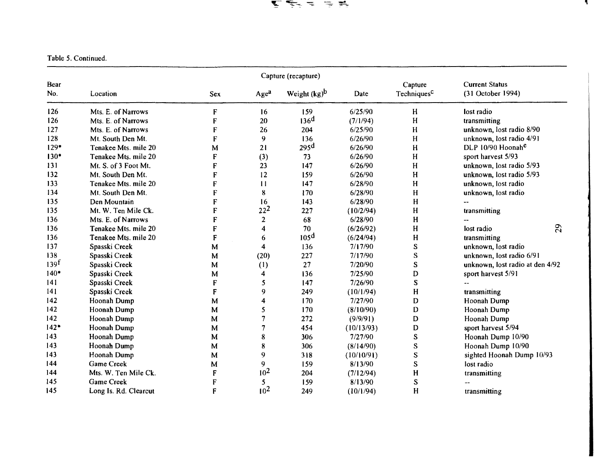医医天主 生共

'I

Table 5. Continued.

|                  |                       |              |                  | Capture (recapture)      |            |                                    |                                            |
|------------------|-----------------------|--------------|------------------|--------------------------|------------|------------------------------------|--------------------------------------------|
| Bear<br>No.      | Location              | Sex          | Age <sup>a</sup> | Weight (kg) <sup>b</sup> | Date       | Capture<br>Techniques <sup>C</sup> | <b>Current Status</b><br>(31 October 1994) |
| 126              | Mts. E. of Narrows    | $\mathbf F$  | 16               | 159                      | 6/25/90    | H                                  | lost radio                                 |
| 126              | Mts. E. of Narrows    | $\mathbf{F}$ | 20               | 136 <sup>d</sup>         | (7/1/94)   | H                                  | transmitting                               |
| 127              | Mts. E. of Narrows    | ${\bf F}$    | 26               | 204                      | 6/25/90    | H                                  | unknown, lost radio 8/90                   |
| 128              | Mt. South Den Mt.     | F            | 9                | 136                      | 6/26/90    | H                                  | unknown, lost radio 4/91                   |
| $129*$           | Tenakee Mts. mile 20  | M            | 21               | 295 <sup>d</sup>         | 6/26/90    | H                                  | DLP 10/90 Hoonah <sup>e</sup>              |
| $130*$           | Tenakee Mts. mile 20  | $\mathbf F$  | (3)              | 73                       | 6/26/90    | H                                  | sport harvest 5/93                         |
| 131              | Mt. S. of 3 Foot Mt.  | F            | 23               | 147                      | 6/26/90    | H                                  | unknown, lost radio 5/93                   |
| 132              | Mt. South Den Mt.     | $\mathbf{F}$ | 12               | 159                      | 6/26/90    | H                                  | unknown, lost radio 5/93                   |
| 133              | Tenakee Mts. mile 20  | F            | 11               | 147                      | 6/28/90    | H                                  | unknown, lost radio                        |
| 134              | Mt. South Den Mt.     | F            | ${\bf 8}$        | 170                      | 6/28/90    | H                                  | unknown, lost radio                        |
| 135              | Den Mountain          | F            | 16               | 143                      | 6/28/90    | H                                  |                                            |
| 135              | Mt. W. Ten Mile Ck.   | $\mathbf F$  | $22^{2}$         | 227                      | (10/2/94)  | H                                  | transmitting                               |
| 136              | Mts. E. of Narrows    | $\mathbf F$  | $\overline{2}$   | 68                       | 6/28/90    | H                                  |                                            |
| 136              | Tenakee Mts. mile 20  | F            | 4                | 70                       | (6/26/92)  | H                                  | 29<br>lost radio                           |
| 136              | Tenakee Mts. mile 20  | F            | 6                | 105 <sup>d</sup>         | (6/24/94)  | H                                  | transmitting                               |
| 137              | Spasski Creek         | M            | 4                | 136                      | 7/17/90    | ${\bf S}$                          | unknown, lost radio                        |
| 138              | Spasski Creek         | M            | (20)             | 227                      | 7/17/90    | ${\bf S}$                          | unknown, lost radio 6/91                   |
| 139 <sup>f</sup> | Spasski Creek         | M            | (1)              | 27                       | 7/20/90    | S                                  | unknown, lost radio at den 4/92            |
| $140*$           | Spasski Creek         | M            | 4                | 136                      | 7/25/90    | D                                  | sport harvest 5/91                         |
| 141              | Spasski Creek         | $\mathbf F$  | 5                | 147                      | 7/26/90    | $\overline{\mathbf{S}}$            |                                            |
| 141              | Spasski Creek         | F            | 9                | 249                      | (10/1/94)  | H                                  | transmitting                               |
| 142              | Hoonah Dump           | M            | 4                | 170                      | 7/27/90    | D                                  | Hoonah Dump                                |
| 142              | Hoonah Dump           | M            | 5                | 170                      | (8/10/90)  | D                                  | Hoonah Dump                                |
| 142              | Hoonah Dump           | M            | 7                | 272                      | (9/9/91)   | D                                  | Hoonah Dump                                |
| $142*$           | Hoonah Dump           | M            | 7                | 454                      | (10/13/93) | D                                  | sport harvest 5/94                         |
| 143              | Hoonah Dump           | M            | 8                | 306                      | 7/27/90    | S                                  | Hoonah Dump 10/90                          |
| 143              | Hoonah Dump           | M            | 8                | 306                      | (8/14/90)  | ${\bf S}$                          | Hoonah Dump 10/90                          |
| 143              | Hoonah Dump           | M            | 9                | 318                      | (10/10/91) | $\mathbf S$                        | sighted Hoonah Dump 10/93                  |
| 144              | Game Creek            | M            | 9                | 159                      | 8/13/90    | S                                  | lost radio                                 |
| 144              | Mts. W. Ten Mile Ck.  | F            | 10 <sup>2</sup>  | 204                      | (7/12/94)  | H                                  | transmitting                               |
| 145              | Game Creek            | F            | 5                | 159                      | 8/13/90    | S                                  |                                            |
| 145              | Long Is. Rd. Clearcut | F            | 10 <sup>2</sup>  | 249                      | (10/1/94)  | H                                  | transmitting                               |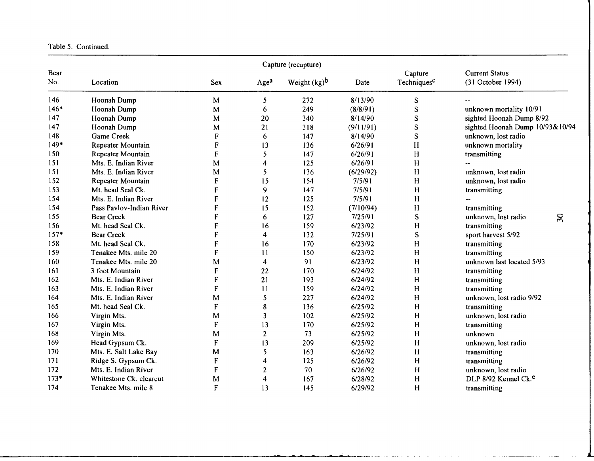|  | Table 5. Continued. |
|--|---------------------|
|  |                     |

|             |                          |                           |                  | Capture (recapture) |           |                                    |                                            |
|-------------|--------------------------|---------------------------|------------------|---------------------|-----------|------------------------------------|--------------------------------------------|
| Bear<br>No. | Location                 | <b>Sex</b>                | Age <sup>a</sup> | Weight $(kg)^b$     | Date      | Capture<br>Techniques <sup>C</sup> | <b>Current Status</b><br>(31 October 1994) |
| 146         | Hoonah Dump              | M                         | 5                | 272                 | 8/13/90   | S                                  |                                            |
| $146*$      | Hoonah Dump              | M                         | 6                | 249                 | (8/8/91)  | ${\bf S}$                          | unknown mortality 10/91                    |
| 147         | Hoonah Dump              | M                         | 20               | 340                 | 8/14/90   | S                                  | sighted Hoonah Dump 8/92                   |
| 147         | Hoonah Dump              | M                         | 21               | 318                 | (9/11/91) | ${\bf S}$                          | sighted Hoonah Dump 10/93&10/94            |
| 148         | <b>Game Creek</b>        | F                         | 6                | 147                 | 8/14/90   | ${\bf S}$                          | unknown, lost radio                        |
| $149*$      | Repeater Mountain        | ${\bf F}$                 | 13               | 136                 | 6/26/91   | H                                  | unknown mortality                          |
| 150         | Repeater Mountain        | ${\bf F}$                 | 5                | 147                 | 6/26/91   | H                                  | transmitting                               |
| 151         | Mts. E. Indian River     | M                         | 4                | 125                 | 6/26/91   | H                                  |                                            |
| 151         | Mts. E. Indian River     | M                         | 5                | 136                 | (6/29/92) | H                                  | unknown, lost radio                        |
| 152         | Repeater Mountain        | F                         | 15               | 154                 | 7/5/91    | H                                  | unknown, lost radio                        |
| 153         | Mt. head Seal Ck.        | F                         | 9                | 147                 | 7/5/91    | H                                  | transmitting                               |
| 154         | Mts. E. Indian River     | F                         | 12               | 125                 | 7/5/91    | H                                  |                                            |
| 154         | Pass Pavlov-Indian River | F                         | 15               | 152                 | (7/10/94) | H                                  | transmitting                               |
| 155         | <b>Bear Creek</b>        | F                         | 6                | 127                 | 7/25/91   | S                                  | 30 <sub>o</sub><br>unknown, lost radio     |
| 156         | Mt. head Seal Ck.        | F                         | 16               | 159                 | 6/23/92   | H                                  | transmitting                               |
| $157*$      | <b>Bear Creek</b>        | F                         | 4                | 132                 | 7/25/91   | ${\bf S}$                          | sport harvest 5/92                         |
| 158         | Mt. head Seal Ck.        | F                         | 16               | 170                 | 6/23/92   | $\mathbf H$                        | transmitting                               |
| 159         | Tenakee Mts. mile 20     | F                         | 11               | 150                 | 6/23/92   | H                                  | transmitting                               |
| 160         | Tenakee Mts. mile 20     | M                         | 4                | 91                  | 6/23/92   | H                                  | unknown last located 5/93                  |
| 161         | 3 foot Mountain          | F                         | 22               | 170                 | 6/24/92   | H                                  | transmitting                               |
| 162         | Mts. E. Indian River     | F                         | 21               | 193                 | 6/24/92   | H                                  | transmitting                               |
| 163         | Mts. E. Indian River     | F                         | 11               | 159                 | 6/24/92   | H                                  | transmitting                               |
| 164         | Mts. E. Indian River     | M                         | 5                | 227                 | 6/24/92   | H                                  | unknown, lost radio 9/92                   |
| 165         | Mt. head Seal Ck.        | F                         | 8                | 136                 | 6/25/92   | H                                  | transmitting                               |
| 166         | Virgin Mts.              | M                         | 3                | 102                 | 6/25/92   | H                                  | unknown, lost radio                        |
| 167         | Virgin Mts.              | F                         | 13               | 170                 | 6/25/92   | H                                  | transmitting                               |
| 168         | Virgin Mts.              | M                         | $\overline{2}$   | 73                  | 6/25/92   | H                                  | unknown                                    |
| 169         | Head Gypsum Ck.          | F                         | 13               | 209                 | 6/25/92   | H                                  | unknown, lost radio                        |
| 170         | Mts. E. Salt Lake Bay    | M                         | 5                | 163                 | 6/26/92   | H                                  | transmitting                               |
| 171         | Ridge S. Gypsum Ck.      | $\boldsymbol{\mathsf{F}}$ | 4                | 125                 | 6/26/92   | H                                  | transmitting                               |
| 172         | Mts. E. Indian River     | F                         | $\overline{c}$   | 70                  | 6/26/92   | H                                  | unknown, lost radio                        |
| $173*$      | Whitestone Ck. clearcut  | M                         | 4                | 167                 | 6/28/92   | H                                  | DLP 8/92 Kennel Ck. <sup>e</sup>           |
| 174         | Tenakee Mts. mile 8      | F                         | 13               | 145                 | 6/29/92   | H                                  | transmitting                               |

والمساور والمعارف والمتعاطين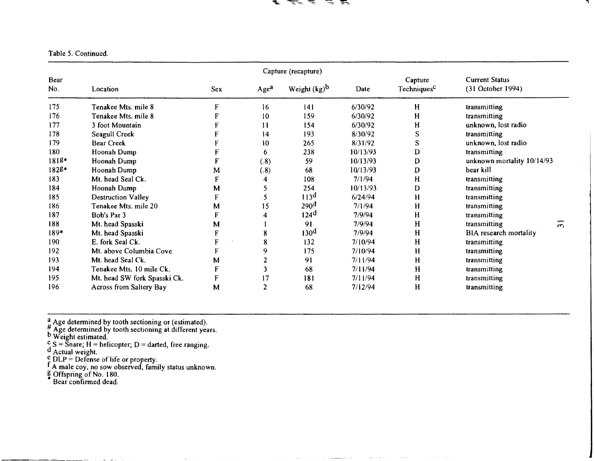# $\mathbf{r} \cdot \mathbf{r} \cdot \mathbf{r} \cdot \mathbf{r}$

### Table *5.* Continued.

|                    |                              |            |                                     | Capture (recapture) |          |                                    |                                            |                |
|--------------------|------------------------------|------------|-------------------------------------|---------------------|----------|------------------------------------|--------------------------------------------|----------------|
| <b>Bear</b><br>No. | Location                     | <b>Sex</b> | Weight $(kg)^b$<br>Age <sup>a</sup> |                     | Date     | Capture<br>Techniques <sup>C</sup> | <b>Current Status</b><br>(31 October 1994) |                |
| 175                | Tenakee Mts. mile 8          | F          | 16                                  | 4                   | 6/30/92  | H                                  | transmitting                               |                |
| 176                | Tenakee Mts. mile 8          | F          | 10                                  | 159                 | 6/30/92  | H                                  | transmitting                               |                |
| 177                | 3 foot Mountain              | F          | 11                                  | 154                 | 6/30/92  | H                                  | unknown, lost radio                        |                |
| 178                | Seagull Creek                |            | 14                                  | 193                 | 8/30/92  | S                                  | transmitting                               |                |
| 179                | <b>Bear Creek</b>            |            | 10                                  | 265                 | 8/31/92  | S                                  | unknown, lost radio                        |                |
| 180                | Hoonah Dump                  |            | 6                                   | 238                 | 10/13/93 | D                                  | transmitting                               |                |
| $1818*$            | Hoonah Dump                  | F          | (.8)                                | 59                  | 10/13/93 | D                                  | unknown mortality 10/14/93                 |                |
| 1828*              | Hoonah Dump                  | ${\bf M}$  | (.8)                                | 68                  | 10/13/93 | D                                  | bear kill                                  |                |
| 183                | Mt. head Seal Ck.            | F          |                                     | 108                 | 7/1/94   | н                                  | transmitting                               |                |
| 184                | Hoonah Dump                  | M          |                                     | 254                 | 10/13/93 | D                                  | transmitting                               |                |
| 185                | <b>Destruction Valley</b>    | F          |                                     | 113 <sup>d</sup>    | 6/24/94  | H                                  | transmitting                               |                |
| 186                | Tenakee Mts. mile 20         | M          | 15                                  | 290 <sup>d</sup>    | 7/1/94   | H                                  | transmitting                               |                |
| 187                | Bob's Par 3                  | F          |                                     | 124 <sup>d</sup>    | 7/9/94   | Н                                  | transmitting                               |                |
| 188                | Mt. head Spasski             | M          |                                     | 91                  | 7/9/94   | H                                  | transmitting                               | $\overline{5}$ |
| $189*$             | Mt. head Spasski             | F          | 8                                   | 130 <sup>d</sup>    | 7/9/94   | H                                  | BIA research mortality                     |                |
| 190                | E. fork Seal Ck.             | F          | 8                                   | 132                 | 7/10/94  | H                                  | transmitting                               |                |
| 192                | Mt. above Columbia Cove      | F          | 9                                   | 175                 | 7/10/94  | H                                  | transmitting                               |                |
| 193                | Mt. head Seal Ck.            | M          |                                     | 91                  | 7/11/94  | H                                  | transmitting                               |                |
| 194                | Tenakee Mts. 10 mile Ck.     | F          |                                     | -68                 | 7/11/94  | H                                  | transmitting                               |                |
| 195                | Mt. head SW fork Spasski Ck. | F          | 17                                  | 181                 | 7/11/94  | H                                  | transmitting                               |                |
| 196                | Across from Saltery Bay      | M          | 2                                   | 68                  | 7/12/94  | H                                  | transmitting                               |                |

 $\frac{a}{b}$  Age determined by tooth sectioning or (estimated).

 $. <sup>H</sup>$  Age determined by tooth sectioning at different years.

Weight estimated.

 $^{c}$  S = Snare; H = helicopter; D = darted, free ranging.

Actual weight.

 $_e^e$  DLP = Defense of life or property.

<sup>f</sup> A male coy, no sow observed, family status unknown.<br> $\frac{p}{2}$  Offspring of No. 180.

Bear confirmed dead.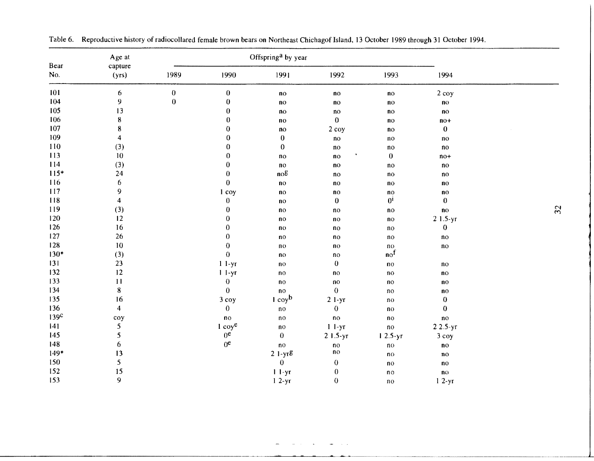|                  | Age at                  |                  |                   | Offspring <sup>a</sup> by year |                            |                            |                            |  |
|------------------|-------------------------|------------------|-------------------|--------------------------------|----------------------------|----------------------------|----------------------------|--|
| Bear<br>No.      | capture<br>(yrs)        | 1989             | 1990              | 1991                           | 1992                       | 1993                       | 1994                       |  |
| 101              | 6                       | $\pmb{0}$        | $\pmb{0}$         | $\mathbf{n}\mathbf{o}$         | $\mathbf{n}\mathbf{o}$     | n <sub>O</sub>             | $2$ coy                    |  |
| 104              | $\boldsymbol{9}$        | $\boldsymbol{0}$ | $\bf{0}$          | no                             | $\mathbf{n}$               | n <sub>O</sub>             | $\mathbf{n}$ o             |  |
| 105              | 13                      |                  | $\bf{0}$          | $\mathbf{n}\mathbf{o}$         | $\mathsf{no}$              | n <sub>O</sub>             | $\mathbf{n}$               |  |
| 106              | ${\bf 8}$               |                  | $\bf{0}$          | n <sub>O</sub>                 | $\bf{0}$                   | n <sub>O</sub>             | $no+$                      |  |
| 107              | ${\bf 8}$               |                  | $\pmb{0}$         | $\mathbf{n}$ o                 | 2 coy                      | n <sub>O</sub>             | $\boldsymbol{0}$           |  |
| 109              | $\overline{\mathbf{4}}$ |                  | $\pmb{0}$         | $\bf{0}$                       | $\mathop{\rm no}\nolimits$ | no                         | no                         |  |
| 110              | (3)                     |                  | $\boldsymbol{0}$  | $\boldsymbol{0}$               | $\mathbf{n}\mathbf{o}$     | no                         | no                         |  |
| 113              | 10                      |                  | $\boldsymbol{0}$  | no                             | ٠<br>n <sub>0</sub>        | $\pmb{0}$                  | $no+$                      |  |
| 114              | (3)                     |                  | $\boldsymbol{0}$  | $\mathbf{n}$ o                 | n <sub>0</sub>             | no                         | no                         |  |
| $115*$           | 24                      |                  | $\boldsymbol{0}$  | nog                            | no                         | $\mathbf{n}\mathbf{o}$     | no                         |  |
| 116              | $\boldsymbol{6}$        |                  | $\bf{0}$          | n <sub>0</sub>                 | no                         | $\mathbf{n}\mathbf{o}$     | $\mathbf{n}$               |  |
| 117              | 9                       |                  | 1 coy             | $\mathbf{n}$                   | ΠO                         | n <sub>0</sub>             | n <sub>0</sub>             |  |
| 118              | $\overline{\mathbf{4}}$ |                  | $\pmb{0}$         | n <sub>o</sub>                 | $\bf{0}$                   | 0 <sup>i</sup>             | $\pmb{0}$                  |  |
| 119              | (3)                     |                  | $\pmb{0}$         | n <sub>O</sub>                 | no                         | n <sub>0</sub>             | $\overline{10}$            |  |
| 120              | 12                      |                  | $\boldsymbol{0}$  | $\mathbf{n}$                   | $\mathbf{n}$               | $\mathbf{n}\mathbf{o}$     | $21.5-yr$                  |  |
| 126              | 16                      |                  | $\pmb{0}$         | n <sub>O</sub>                 | no                         | no                         | $\boldsymbol{0}$           |  |
| 127              | 26                      |                  | $\pmb{0}$         | n <sub>0</sub>                 | no                         | $\mathbf{n}$               | $\mathop{\rm no}\nolimits$ |  |
| 128              | $10\,$                  |                  | $\boldsymbol{0}$  | $\mathbf{n}$ o                 | $\mathbf{n}$               | $\mathbf{n}$ o             | $\mathop{\rm no}\nolimits$ |  |
| $130*$           | (3)                     |                  | $\bf{0}$          | n <sub>O</sub>                 | no                         | $\mathsf{no}^{\mathrm{f}}$ |                            |  |
| 131              | 23                      |                  | $11-yr$           | $\mathbf{n}$                   | $\pmb{0}$                  | $\mathbf{n}$               | $\mathop{\rm no}\nolimits$ |  |
| 132              | 12                      |                  | $11-yr$           | $\mathbf{n}\mathbf{o}$         | $\mathbf{n}$               | $\mathbf{n}$               | $\mathbf{n}$ o             |  |
| 133              | 11                      |                  | $\boldsymbol{0}$  | $\mathbf{n}\mathbf{o}$         | $\mathbf{n}$               | $\mathbf{n}$ o             | n <sub>0</sub>             |  |
| 134              | ${\bf 8}$               |                  | $\bf{0}$          | n <sub>0</sub>                 | $\boldsymbol{0}$           | $\mathop{\rm no}\nolimits$ | n <sub>0</sub>             |  |
| 135              | 16                      |                  | 3 coy             | $1$ coy <sup>b</sup>           | $2 1-yr$                   | $\mathbf{n}\mathbf{o}$     | $\boldsymbol{0}$           |  |
| 136              | $\overline{\mathbf{4}}$ |                  | $\pmb{0}$         | $\mathbf{n}\mathbf{o}$         | $\pmb{0}$                  | $\mathbf{n}\mathbf{o}$     | $\boldsymbol{0}$           |  |
| 139 <sup>c</sup> | coy                     |                  | $\mathbf{n}\circ$ | $\mathbf{n}\mathbf{o}$         | $\mathbf{n}\mathbf{o}$     | no                         | no                         |  |
| 141              | 5                       |                  | $1 \cos^e$        | no                             | $11-yr$                    | $\mathbf{n}\mathbf{o}$     | $22.5-yr$                  |  |
| 145              | 5                       |                  | 0 <sup>e</sup>    | $\pmb{0}$                      | $21.5-yr$                  | $12.5-yr$                  | 3 coy                      |  |
| 148              | 6                       |                  | 0 <sup>e</sup>    | n <sub>0</sub>                 | $\mathbf{n}\mathbf{o}$     | $\mathbf{n}$ o             | no                         |  |
| $149*$           | 13                      |                  |                   | $21-yr$ g                      | $\mathbf{n}\mathbf{o}$     | n <sub>O</sub>             | $\mathbf{n}$               |  |
| 150              | 5                       |                  |                   | $\boldsymbol{0}$               | $\boldsymbol{0}$           | $\mathbf{n}$               | n <sub>0</sub>             |  |
| 152              | 15                      |                  |                   | $11-yr$                        | $\pmb{0}$                  | n <sub>0</sub>             | $\mathbf{n}$               |  |
| 153              | 9                       |                  |                   | $12-yr$                        | $\boldsymbol{0}$           | no                         | $12-yr$                    |  |

Table 6. Reproductive history of radiocollared female brown bears on Northeast Chichagof Island, 13 October 1989 through 31 October 1994.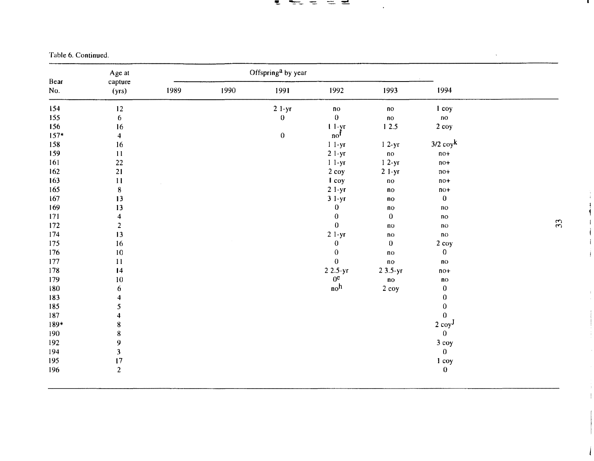#### <u>t tud did</u>

 $\bullet$ 

Table 6. Continued.

|    |                        |                        |                            | Age at<br>capture |      |      |                         |             |
|----|------------------------|------------------------|----------------------------|-------------------|------|------|-------------------------|-------------|
|    | 1994                   | 1993                   | 1992                       | 1991              | 1990 | 1989 | (yrs)                   | Bear<br>No. |
|    | 1 coy                  | $\mathbf{n}\mathbf{o}$ | $\mathbf{n}\circ$          | $21-yr$           |      |      | 12                      | 154         |
|    | $\mathbf{n}\mathbf{o}$ | $\overline{no}$        | $\bf{0}$                   | $\bf{0}$          |      |      | $\boldsymbol{6}$        | 155         |
|    | 2 coy                  | 12.5                   | $11-yr$                    |                   |      |      | 16                      | 156         |
|    |                        |                        | $\mathsf{no}^{\mathsf{f}}$ | $\boldsymbol{0}$  |      |      | $\overline{\mathbf{4}}$ | $157*$      |
|    | $3/2$ coy <sup>k</sup> | $12-yr$                | $11-yr$                    |                   |      |      | 16                      | 158         |
|    | $no+$                  | no                     | $21-yr$                    |                   |      |      | $11\,$                  | 159         |
|    | $no+$                  | $12-yr$                | $11-yr$                    |                   |      |      | 22                      | 161         |
|    | $no+$                  | $21-yr$                | 2 coy                      |                   |      |      | 21                      | 162         |
|    | $no+$                  | $\mathbf{no}$          | I coy                      |                   |      |      | $11\,$                  | 163         |
|    | $no+$                  | $\mathbf{n}\mathbf{o}$ | $21-yr$                    |                   |      |      | ${\bf 8}$               | 165         |
|    | $\pmb{0}$              | $\mathbf{n}\mathbf{o}$ | $31-yr$                    |                   |      |      | 13                      | 167         |
|    | $\mathbf{n}\mathbf{o}$ | $\mathbf{n}\mathbf{o}$ | $\pmb{0}$                  |                   |      |      | 13                      | 169         |
|    | $\mathbf{n}\mathbf{o}$ | $\bf{0}$               | $\boldsymbol{0}$           |                   |      |      | $\overline{\mathbf{4}}$ | 171         |
| 33 | $\mathbf{n}$ o         | $\mathbf{n}\mathbf{o}$ | $\boldsymbol{0}$           |                   |      |      | $\overline{2}$          | 172         |
|    | $\mathbf{n}\mathbf{o}$ | $\mathbf{n}\mathbf{o}$ | $21-yr$                    |                   |      |      | 13                      | 174         |
|    | 2 coy                  | $\mathbf 0$            | $\pmb{0}$                  |                   |      |      | 16                      | 175         |
|    | $\pmb{0}$              | $\mathbf{n}\mathbf{o}$ | $\boldsymbol{0}$           |                   |      |      | $10\,$                  | 176         |
|    | $\mathbf{n}$           | $\mathbf{n}\mathbf{o}$ | $\bf{0}$                   |                   |      |      | 11                      | 177         |
|    | $no+$                  | $23.5-yr$              | $22.5-yr$                  |                   |      |      | $\vert 4$               | 178         |
|    | $\mathbf{n}\mathbf{o}$ | $\mathbf{n}\mathbf{o}$ | 0 <sup>e</sup>             |                   |      |      | $10\,$                  | 179         |
|    | $\pmb{0}$              | 2 coy                  | no <sup>h</sup>            |                   |      |      | 6                       | 180         |
|    | $\pmb{0}$              |                        |                            |                   |      |      | $\overline{\bf{4}}$     | 183         |
|    | $\boldsymbol{0}$       |                        |                            |                   |      |      | 5                       | 185         |
|    | $\bf{0}$               |                        |                            |                   |      |      | $\ddot{\bf{4}}$         | 187         |
|    | $2\text{ copy}^J$      |                        |                            |                   |      |      | ${\bf 8}$               | 189*        |
|    | $\mathbf{0}$           |                        |                            |                   |      |      | ${\bf 8}$               | 190         |
|    | $3$ coy                |                        |                            |                   |      |      | $\mathbf{9}$            | 192         |
|    | $\mathbf{0}$           |                        |                            |                   |      |      | $\overline{\mathbf{3}}$ | 194         |
|    | 1 coy                  |                        |                            |                   |      |      | 17                      | 195         |
|    | $\bf{0}$               |                        |                            |                   |      |      | $\overline{2}$          | 196         |

 $33<sub>l</sub>$ 

 $\mathbf{r}$ 

.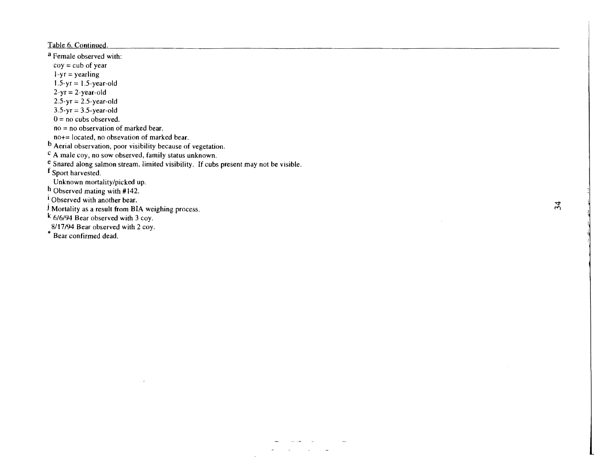Table 6. Continued

a Female observed with:  $coy = cub of year$  $1 - yr = year$ ling  $1.5-yr = 1.5-year-old$  $2-yr = 2-year-old$  $2.5-yr = 2.5-year-old$  $3.5 - yr = 3.5 - year - old$  $0 =$ no cubs observed.  $no = no$  observation of marked bear. no+= located, no obsevation of marked bear. <sup>D</sup> Aerial observation, poor visibility because of vegetation. c A male coy, no sow observed, family status unknown. e Snared along salmon stream, limited visibility. If cubs present may not be visible. f Sport harvested. Unknown mortality/picked up.<br>h Observed mating with #142.  $\frac{1}{2}$  Observed with another bear. j Mortality as a result from BIA weighing process. k 6/6/94 Bear observed with 3 coy. 8/17/94 Bear observed with 2 coy. \* Bear confirmed dead.

 $\mathcal{L}$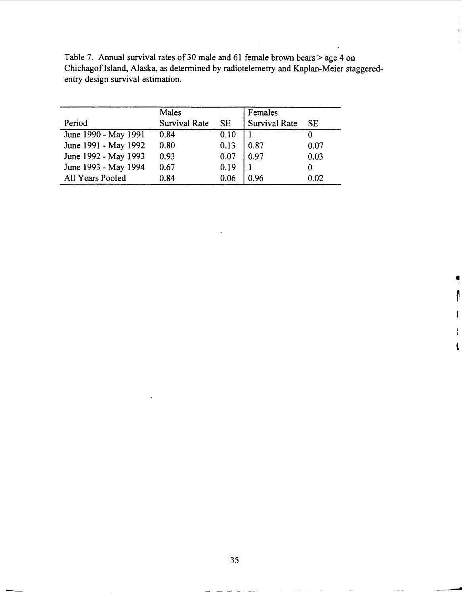| Table 7. Annual survival rates of 30 male and 61 female brown bears $>$ age 4 on      |
|---------------------------------------------------------------------------------------|
| Chichagof Island, Alaska, as determined by radiotelemetry and Kaplan-Meier staggered- |
| entry design survival estimation.                                                     |

|                      | Males         |      | Females       |      |
|----------------------|---------------|------|---------------|------|
| Period               | Survival Rate | SE.  | Survival Rate | SE.  |
| June 1990 - May 1991 | 0.84          | 0.10 |               |      |
| June 1991 - May 1992 | 0.80          | 0.13 | 0.87          | 0.07 |
| June 1992 - May 1993 | 0.93          | 0.07 | 0.97          | 0.03 |
| June 1993 - May 1994 | 0.67          | 0.19 |               |      |
| All Years Pooled     | 0.84          | 0.06 | 0.96          | 0.02 |

l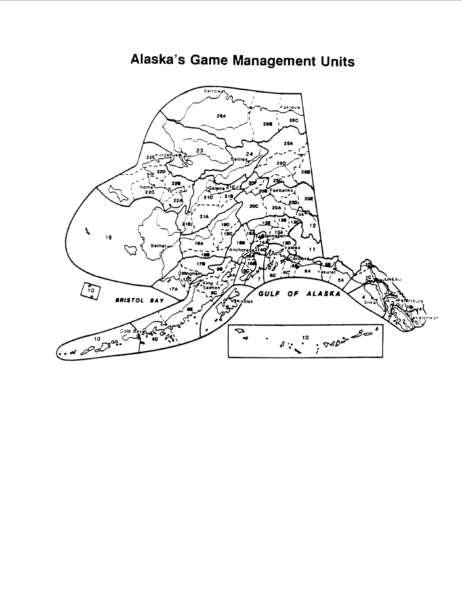

Alaska's Game Management Units